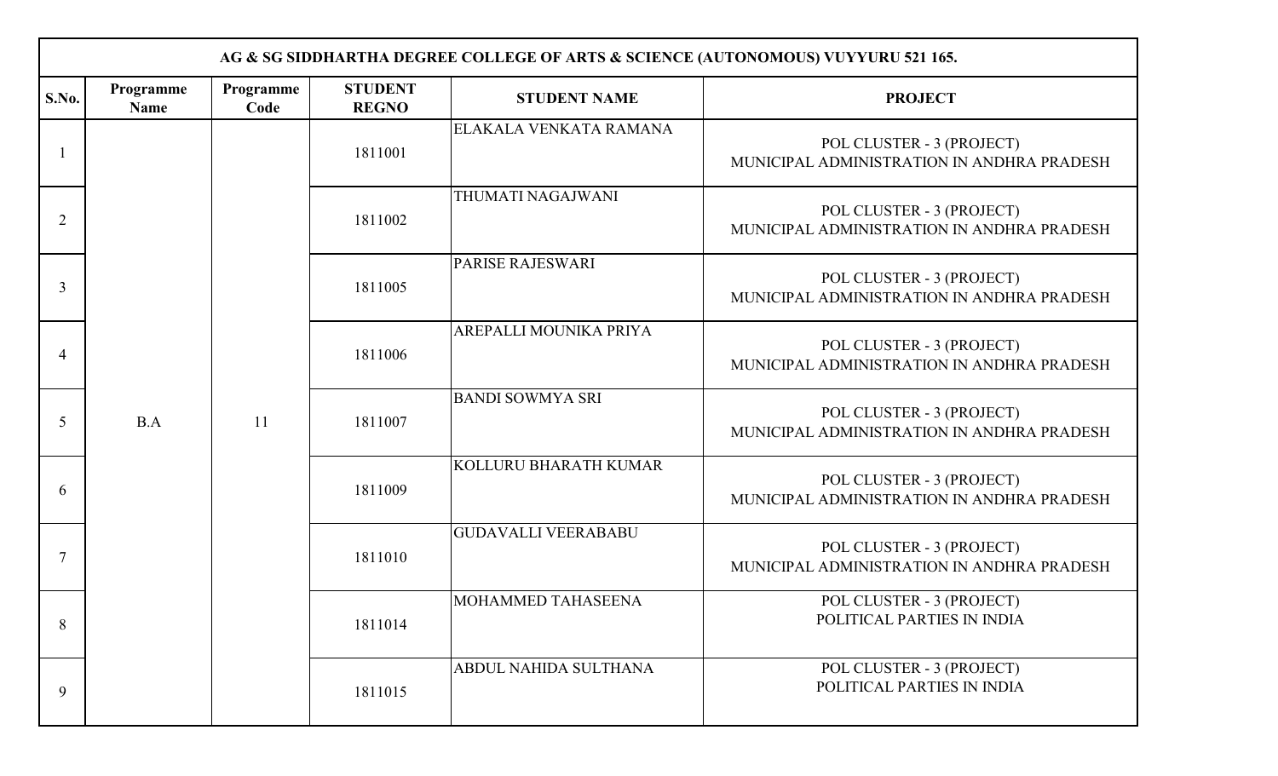|                | AG & SG SIDDHARTHA DEGREE COLLEGE OF ARTS & SCIENCE (AUTONOMOUS) VUYYURU 521 165. |                   |                                |                              |                                                                         |                            |                                                                         |                                                                         |                              |                                                                         |                         |                                                                         |
|----------------|-----------------------------------------------------------------------------------|-------------------|--------------------------------|------------------------------|-------------------------------------------------------------------------|----------------------------|-------------------------------------------------------------------------|-------------------------------------------------------------------------|------------------------------|-------------------------------------------------------------------------|-------------------------|-------------------------------------------------------------------------|
| S.No.          | Programme<br><b>Name</b>                                                          | Programme<br>Code | <b>STUDENT</b><br><b>REGNO</b> | <b>STUDENT NAME</b>          | <b>PROJECT</b>                                                          |                            |                                                                         |                                                                         |                              |                                                                         |                         |                                                                         |
|                |                                                                                   |                   | 1811001                        | ELAKALA VENKATA RAMANA       | POL CLUSTER - 3 (PROJECT)<br>MUNICIPAL ADMINISTRATION IN ANDHRA PRADESH |                            |                                                                         |                                                                         |                              |                                                                         |                         |                                                                         |
| $\overline{2}$ |                                                                                   |                   | 1811002                        | THUMATI NAGAJWANI            | POL CLUSTER - 3 (PROJECT)<br>MUNICIPAL ADMINISTRATION IN ANDHRA PRADESH |                            |                                                                         |                                                                         |                              |                                                                         |                         |                                                                         |
| 3              |                                                                                   |                   | 1811005                        | <b>PARISE RAJESWARI</b>      | POL CLUSTER - 3 (PROJECT)<br>MUNICIPAL ADMINISTRATION IN ANDHRA PRADESH |                            |                                                                         |                                                                         |                              |                                                                         |                         |                                                                         |
| $\overline{A}$ |                                                                                   | 11                |                                |                              |                                                                         | 1811006                    | AREPALLI MOUNIKA PRIYA                                                  | POL CLUSTER - 3 (PROJECT)<br>MUNICIPAL ADMINISTRATION IN ANDHRA PRADESH |                              |                                                                         |                         |                                                                         |
| 5              | B.A                                                                               |                   |                                |                              |                                                                         |                            |                                                                         |                                                                         |                              | 1811007                                                                 | <b>BANDI SOWMYA SRI</b> | POL CLUSTER - 3 (PROJECT)<br>MUNICIPAL ADMINISTRATION IN ANDHRA PRADESH |
| 6              |                                                                                   |                   |                                |                              |                                                                         |                            |                                                                         | 1811009                                                                 | <b>KOLLURU BHARATH KUMAR</b> | POL CLUSTER - 3 (PROJECT)<br>MUNICIPAL ADMINISTRATION IN ANDHRA PRADESH |                         |                                                                         |
| 7              |                                                                                   |                   |                                |                              | 1811010                                                                 | <b>GUDAVALLI VEERABABU</b> | POL CLUSTER - 3 (PROJECT)<br>MUNICIPAL ADMINISTRATION IN ANDHRA PRADESH |                                                                         |                              |                                                                         |                         |                                                                         |
| 8              |                                                                                   |                   | 1811014                        | MOHAMMED TAHASEENA           | POL CLUSTER - 3 (PROJECT)<br>POLITICAL PARTIES IN INDIA                 |                            |                                                                         |                                                                         |                              |                                                                         |                         |                                                                         |
| 9              |                                                                                   |                   | 1811015                        | <b>ABDUL NAHIDA SULTHANA</b> | POL CLUSTER - 3 (PROJECT)<br>POLITICAL PARTIES IN INDIA                 |                            |                                                                         |                                                                         |                              |                                                                         |                         |                                                                         |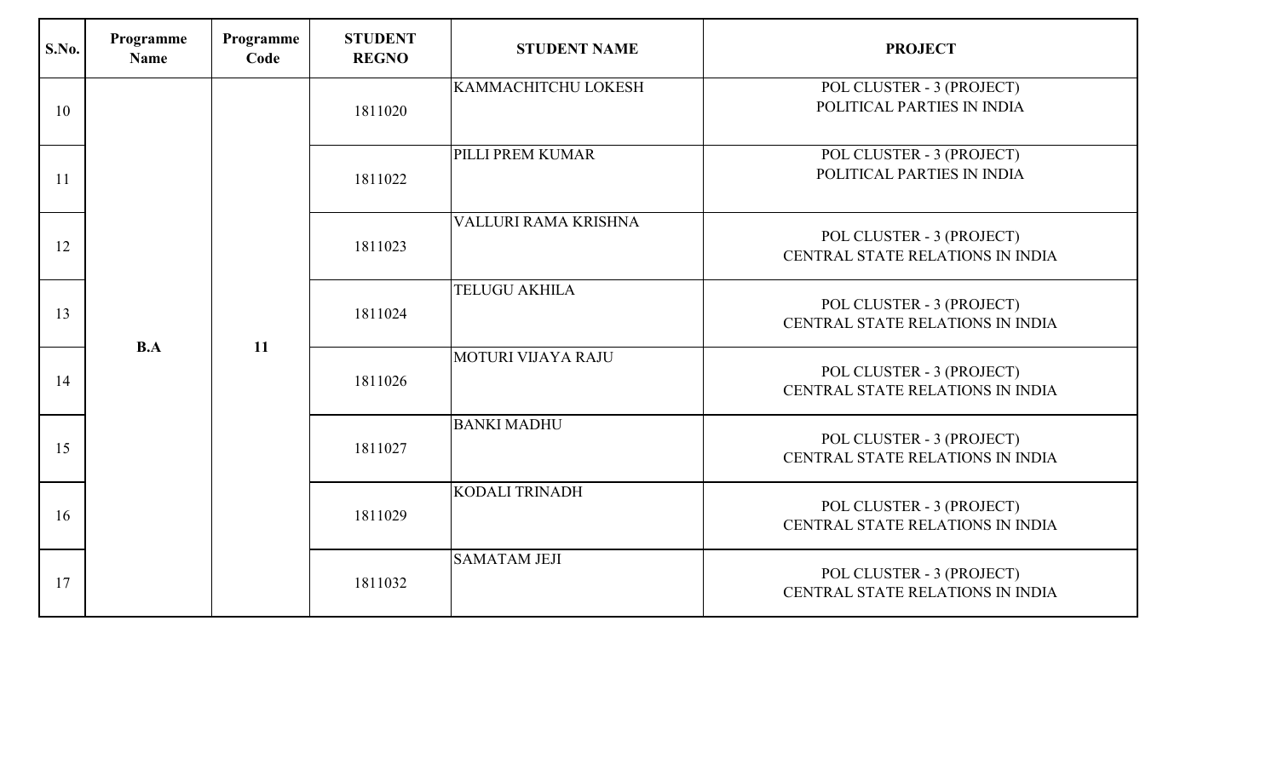| S.No. | Programme<br>Name | Programme<br>Code | <b>STUDENT</b><br><b>REGNO</b> | <b>STUDENT NAME</b>        | <b>PROJECT</b>                                                |                                                               |
|-------|-------------------|-------------------|--------------------------------|----------------------------|---------------------------------------------------------------|---------------------------------------------------------------|
| 10    |                   |                   | 1811020                        | <b>KAMMACHITCHU LOKESH</b> | POL CLUSTER - 3 (PROJECT)<br>POLITICAL PARTIES IN INDIA       |                                                               |
| 11    |                   |                   | 1811022                        | PILLI PREM KUMAR           | POL CLUSTER - 3 (PROJECT)<br>POLITICAL PARTIES IN INDIA       |                                                               |
| 12    |                   |                   | 1811023                        | VALLURI RAMA KRISHNA       | POL CLUSTER - 3 (PROJECT)<br>CENTRAL STATE RELATIONS IN INDIA |                                                               |
| 13    |                   |                   | 1811024                        | <b>TELUGU AKHILA</b>       | POL CLUSTER - 3 (PROJECT)<br>CENTRAL STATE RELATIONS IN INDIA |                                                               |
| 14    | B.A               | 11                |                                | 1811026                    | MOTURI VIJAYA RAJU                                            | POL CLUSTER - 3 (PROJECT)<br>CENTRAL STATE RELATIONS IN INDIA |
| 15    |                   |                   | 1811027                        | <b>BANKI MADHU</b>         | POL CLUSTER - 3 (PROJECT)<br>CENTRAL STATE RELATIONS IN INDIA |                                                               |
| 16    |                   |                   | 1811029                        | <b>KODALI TRINADH</b>      | POL CLUSTER - 3 (PROJECT)<br>CENTRAL STATE RELATIONS IN INDIA |                                                               |
| 17    |                   |                   | 1811032                        | <b>SAMATAM JEJI</b>        | POL CLUSTER - 3 (PROJECT)<br>CENTRAL STATE RELATIONS IN INDIA |                                                               |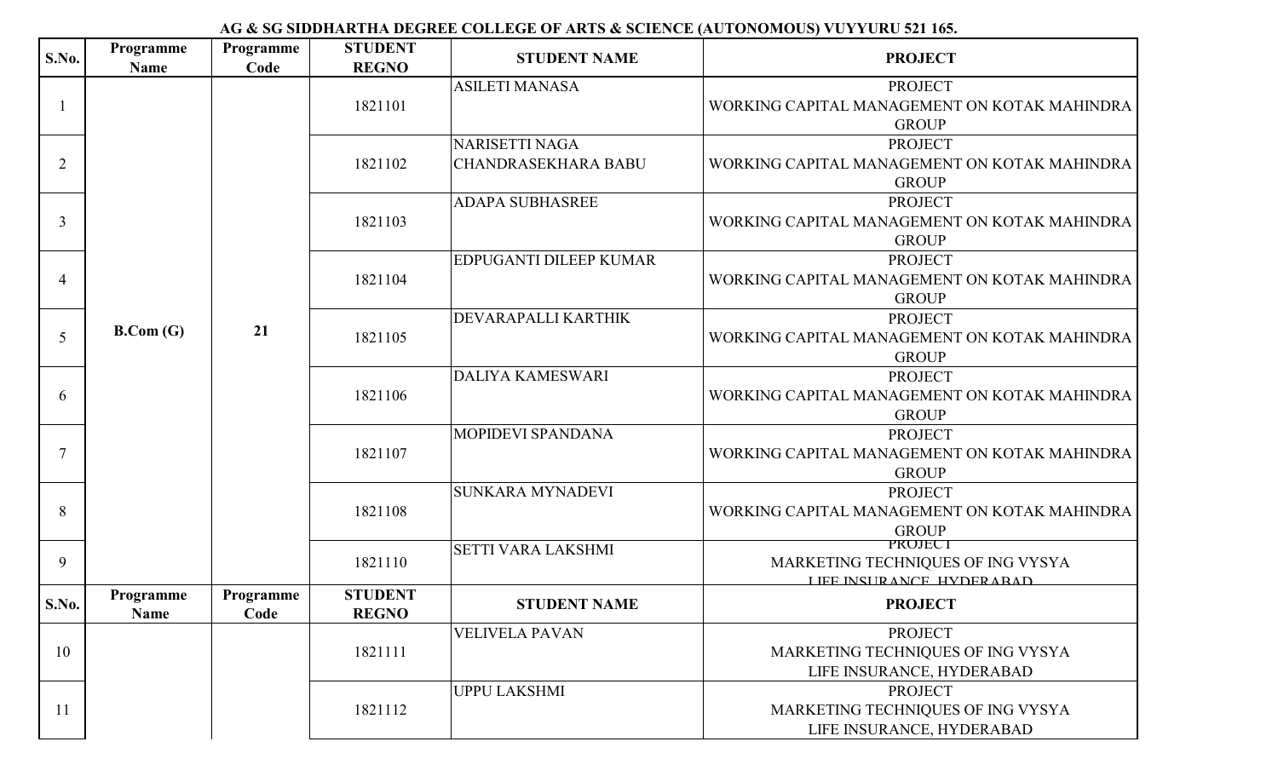| S.No.          | Programme<br><b>Name</b> | Programme<br>Code | <b>STUDENT</b><br><b>REGNO</b> | <b>STUDENT NAME</b>                                 | <b>PROJECT</b>                                                                   |                                                                                |                                                                                |                           |                                                                                 |  |  |         |                         |                                                                                |
|----------------|--------------------------|-------------------|--------------------------------|-----------------------------------------------------|----------------------------------------------------------------------------------|--------------------------------------------------------------------------------|--------------------------------------------------------------------------------|---------------------------|---------------------------------------------------------------------------------|--|--|---------|-------------------------|--------------------------------------------------------------------------------|
|                |                          |                   | 1821101                        | <b>ASILETI MANASA</b>                               | <b>PROJECT</b><br>WORKING CAPITAL MANAGEMENT ON KOTAK MAHINDRA<br><b>GROUP</b>   |                                                                                |                                                                                |                           |                                                                                 |  |  |         |                         |                                                                                |
| $\overline{2}$ |                          |                   | 1821102                        | <b>NARISETTI NAGA</b><br><b>CHANDRASEKHARA BABU</b> | <b>PROJECT</b><br>WORKING CAPITAL MANAGEMENT ON KOTAK MAHINDRA<br><b>GROUP</b>   |                                                                                |                                                                                |                           |                                                                                 |  |  |         |                         |                                                                                |
| 3              |                          |                   | 1821103                        | <b>ADAPA SUBHASREE</b>                              | <b>PROJECT</b><br>WORKING CAPITAL MANAGEMENT ON KOTAK MAHINDRA<br><b>GROUP</b>   |                                                                                |                                                                                |                           |                                                                                 |  |  |         |                         |                                                                                |
| 4              |                          |                   | 1821104                        | <b>EDPUGANTI DILEEP KUMAR</b>                       | <b>PROJECT</b><br>WORKING CAPITAL MANAGEMENT ON KOTAK MAHINDRA<br><b>GROUP</b>   |                                                                                |                                                                                |                           |                                                                                 |  |  |         |                         |                                                                                |
| 5              | B. Com(G)                | 21                | 1821105                        | DEVARAPALLI KARTHIK                                 | <b>PROJECT</b><br>WORKING CAPITAL MANAGEMENT ON KOTAK MAHINDRA<br><b>GROUP</b>   |                                                                                |                                                                                |                           |                                                                                 |  |  |         |                         |                                                                                |
| 6              |                          |                   |                                |                                                     | 1821106                                                                          | <b>DALIYA KAMESWARI</b>                                                        | <b>PROJECT</b><br>WORKING CAPITAL MANAGEMENT ON KOTAK MAHINDRA<br><b>GROUP</b> |                           |                                                                                 |  |  |         |                         |                                                                                |
| $\overline{7}$ |                          |                   |                                | 1821107                                             | MOPIDEVI SPANDANA                                                                | <b>PROJECT</b><br>WORKING CAPITAL MANAGEMENT ON KOTAK MAHINDRA<br><b>GROUP</b> |                                                                                |                           |                                                                                 |  |  |         |                         |                                                                                |
| 8              |                          |                   |                                |                                                     |                                                                                  |                                                                                |                                                                                |                           |                                                                                 |  |  | 1821108 | <b>SUNKARA MYNADEVI</b> | <b>PROJECT</b><br>WORKING CAPITAL MANAGEMENT ON KOTAK MAHINDRA<br><b>GROUP</b> |
| 9              |                          |                   |                                |                                                     |                                                                                  |                                                                                | 1821110                                                                        | <b>SETTI VARA LAKSHMI</b> | PROJECT<br>MARKETING TECHNIQUES OF ING VYSYA<br><b>LIEE INSURANCE HYDERARAD</b> |  |  |         |                         |                                                                                |
| S.No.          | Programme<br>Name        | Programme<br>Code | <b>STUDENT</b><br><b>REGNO</b> | <b>STUDENT NAME</b>                                 | <b>PROJECT</b>                                                                   |                                                                                |                                                                                |                           |                                                                                 |  |  |         |                         |                                                                                |
| 10             |                          |                   | 1821111                        | <b>VELIVELA PAVAN</b>                               | <b>PROJECT</b><br>MARKETING TECHNIQUES OF ING VYSYA<br>LIFE INSURANCE, HYDERABAD |                                                                                |                                                                                |                           |                                                                                 |  |  |         |                         |                                                                                |
| <sup>11</sup>  |                          |                   | 1821112                        | <b>UPPU LAKSHMI</b>                                 | <b>PROJECT</b><br>MARKETING TECHNIQUES OF ING VYSYA<br>LIFE INSURANCE, HYDERABAD |                                                                                |                                                                                |                           |                                                                                 |  |  |         |                         |                                                                                |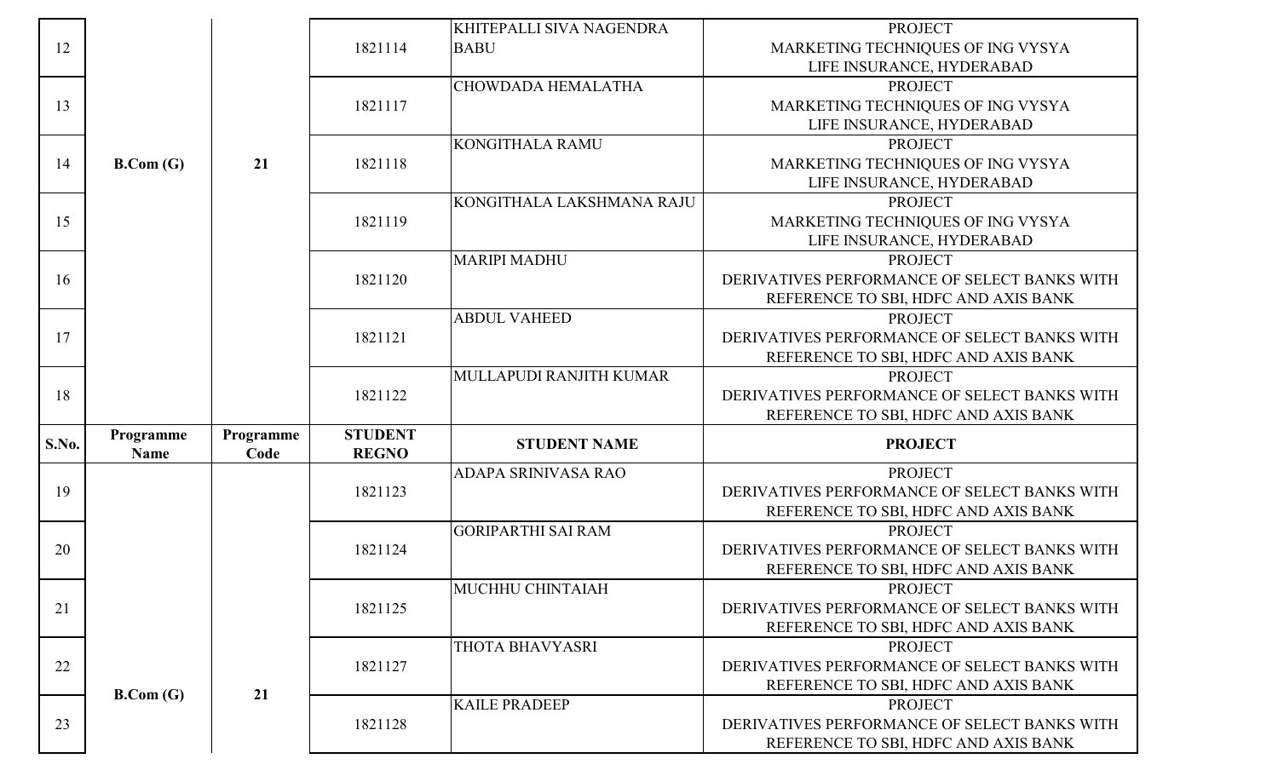|              |             |           |                | KHITEPALLI SIVA NAGENDRA  | <b>PROJECT</b>                               |
|--------------|-------------|-----------|----------------|---------------------------|----------------------------------------------|
| 12           |             |           | 1821114        | <b>BABU</b>               | MARKETING TECHNIQUES OF ING VYSYA            |
|              |             |           |                |                           | LIFE INSURANCE, HYDERABAD                    |
|              |             |           |                | CHOWDADA HEMALATHA        | <b>PROJECT</b>                               |
| 13           |             |           | 1821117        |                           | MARKETING TECHNIQUES OF ING VYSYA            |
|              |             |           |                |                           | LIFE INSURANCE, HYDERABAD                    |
|              |             |           |                | <b>KONGITHALA RAMU</b>    | <b>PROJECT</b>                               |
| 14           | B. Com(G)   | 21        | 1821118        |                           | MARKETING TECHNIQUES OF ING VYSYA            |
|              |             |           |                |                           | LIFE INSURANCE, HYDERABAD                    |
|              |             |           |                | KONGITHALA LAKSHMANA RAJU | <b>PROJECT</b>                               |
| 15           |             |           | 1821119        |                           | MARKETING TECHNIQUES OF ING VYSYA            |
|              |             |           |                |                           | LIFE INSURANCE, HYDERABAD                    |
|              |             |           |                | <b>MARIPI MADHU</b>       | <b>PROJECT</b>                               |
| 16           |             |           | 1821120        |                           | DERIVATIVES PERFORMANCE OF SELECT BANKS WITH |
|              |             |           |                |                           | REFERENCE TO SBI, HDFC AND AXIS BANK         |
|              |             |           |                | <b>ABDUL VAHEED</b>       | <b>PROJECT</b>                               |
| 17           |             |           | 1821121        |                           | DERIVATIVES PERFORMANCE OF SELECT BANKS WITH |
|              |             |           |                |                           | REFERENCE TO SBI, HDFC AND AXIS BANK         |
|              |             |           |                | MULLAPUDI RANJITH KUMAR   | <b>PROJECT</b>                               |
|              |             |           |                |                           |                                              |
| 18           |             |           | 1821122        |                           | DERIVATIVES PERFORMANCE OF SELECT BANKS WITH |
|              |             |           |                |                           | REFERENCE TO SBI, HDFC AND AXIS BANK         |
|              | Programme   | Programme | <b>STUDENT</b> | <b>STUDENT NAME</b>       | <b>PROJECT</b>                               |
| <b>S.No.</b> | <b>Name</b> | Code      | <b>REGNO</b>   |                           |                                              |
|              |             |           |                | ADAPA SRINIVASA RAO       | <b>PROJECT</b>                               |
| 19           |             |           | 1821123        |                           | DERIVATIVES PERFORMANCE OF SELECT BANKS WITH |
|              |             |           |                |                           | REFERENCE TO SBI, HDFC AND AXIS BANK         |
|              |             |           |                | <b>GORIPARTHI SAI RAM</b> | <b>PROJECT</b>                               |
| 20           |             |           | 1821124        |                           | DERIVATIVES PERFORMANCE OF SELECT BANKS WITH |
|              |             |           |                |                           | REFERENCE TO SBI, HDFC AND AXIS BANK         |
|              |             |           |                | MUCHHU CHINTAIAH          | <b>PROJECT</b>                               |
| 21           |             |           | 1821125        |                           | DERIVATIVES PERFORMANCE OF SELECT BANKS WITH |
|              |             |           |                |                           | REFERENCE TO SBI, HDFC AND AXIS BANK         |
|              |             |           |                | THOTA BHAVYASRI           | <b>PROJECT</b>                               |
| 22           |             |           | 1821127        |                           | DERIVATIVES PERFORMANCE OF SELECT BANKS WITH |
|              | B. Com(G)   | 21        |                |                           | REFERENCE TO SBI, HDFC AND AXIS BANK         |
|              |             |           |                | <b>KAILE PRADEEP</b>      | <b>PROJECT</b>                               |
| 23           |             |           | 1821128        |                           | DERIVATIVES PERFORMANCE OF SELECT BANKS WITH |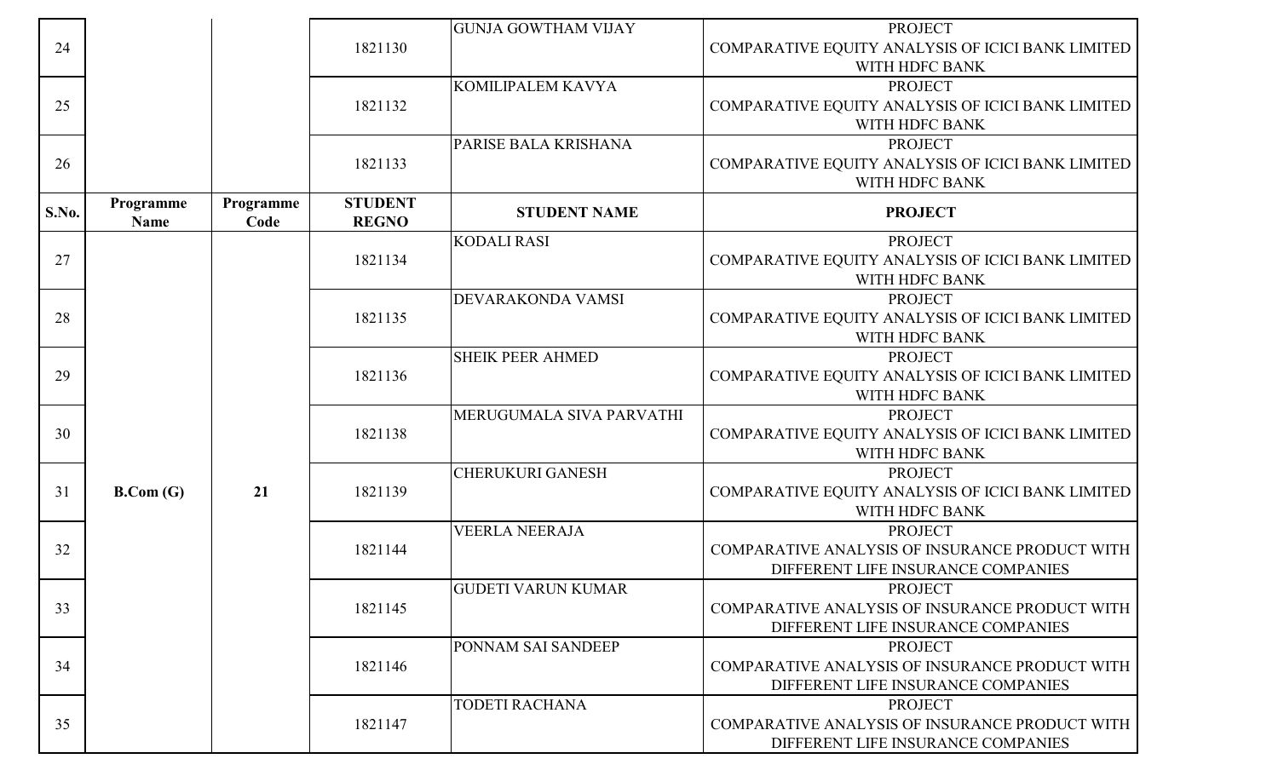|       |             |           |                | <b>GUNJA GOWTHAM VIJAY</b> | <b>PROJECT</b>                                    |
|-------|-------------|-----------|----------------|----------------------------|---------------------------------------------------|
| 24    |             |           | 1821130        |                            | COMPARATIVE EQUITY ANALYSIS OF ICICI BANK LIMITED |
|       |             |           |                |                            | WITH HDFC BANK                                    |
|       |             |           |                | KOMILIPALEM KAVYA          | <b>PROJECT</b>                                    |
| 25    |             |           | 1821132        |                            | COMPARATIVE EQUITY ANALYSIS OF ICICI BANK LIMITED |
|       |             |           |                |                            | WITH HDFC BANK                                    |
|       |             |           |                | PARISE BALA KRISHANA       | <b>PROJECT</b>                                    |
| 26    |             |           | 1821133        |                            | COMPARATIVE EQUITY ANALYSIS OF ICICI BANK LIMITED |
|       |             |           |                |                            | WITH HDFC BANK                                    |
|       | Programme   | Programme | <b>STUDENT</b> |                            |                                                   |
| S.No. | <b>Name</b> | Code      | <b>REGNO</b>   | <b>STUDENT NAME</b>        | <b>PROJECT</b>                                    |
|       |             |           |                | <b>KODALI RASI</b>         | <b>PROJECT</b>                                    |
| 27    |             |           | 1821134        |                            | COMPARATIVE EQUITY ANALYSIS OF ICICI BANK LIMITED |
|       |             |           |                |                            | WITH HDFC BANK                                    |
|       |             |           |                | DEVARAKONDA VAMSI          | <b>PROJECT</b>                                    |
| 28    |             |           | 1821135        |                            | COMPARATIVE EQUITY ANALYSIS OF ICICI BANK LIMITED |
|       |             |           |                |                            | WITH HDFC BANK                                    |
|       |             |           |                | <b>SHEIK PEER AHMED</b>    | <b>PROJECT</b>                                    |
| 29    |             |           | 1821136        |                            | COMPARATIVE EQUITY ANALYSIS OF ICICI BANK LIMITED |
|       |             |           |                |                            | WITH HDFC BANK                                    |
|       |             |           |                | MERUGUMALA SIVA PARVATHI   | <b>PROJECT</b>                                    |
| 30    |             |           | 1821138        |                            | COMPARATIVE EQUITY ANALYSIS OF ICICI BANK LIMITED |
|       |             |           |                |                            | WITH HDFC BANK                                    |
|       |             |           |                | <b>CHERUKURI GANESH</b>    | <b>PROJECT</b>                                    |
| 31    | B. Com(G)   | 21        | 1821139        |                            | COMPARATIVE EQUITY ANALYSIS OF ICICI BANK LIMITED |
|       |             |           |                |                            | WITH HDFC BANK                                    |
|       |             |           |                | <b>VEERLA NEERAJA</b>      | <b>PROJECT</b>                                    |
| 32    |             |           | 1821144        |                            | COMPARATIVE ANALYSIS OF INSURANCE PRODUCT WITH    |
|       |             |           |                |                            | DIFFERENT LIFE INSURANCE COMPANIES                |
|       |             |           |                | <b>GUDETI VARUN KUMAR</b>  | <b>PROJECT</b>                                    |
| 33    |             |           | 1821145        |                            | COMPARATIVE ANALYSIS OF INSURANCE PRODUCT WITH    |
|       |             |           |                |                            | DIFFERENT LIFE INSURANCE COMPANIES                |
|       |             |           |                | <b>PONNAM SAI SANDEEP</b>  | <b>PROJECT</b>                                    |
| 34    |             |           | 1821146        |                            | COMPARATIVE ANALYSIS OF INSURANCE PRODUCT WITH    |
|       |             |           |                |                            | DIFFERENT LIFE INSURANCE COMPANIES                |
|       |             |           |                | <b>TODETI RACHANA</b>      | <b>PROJECT</b>                                    |
| 35    |             |           | 1821147        |                            | COMPARATIVE ANALYSIS OF INSURANCE PRODUCT WITH    |
|       |             |           |                |                            | DIFFERENT LIFE INSURANCE COMPANIES                |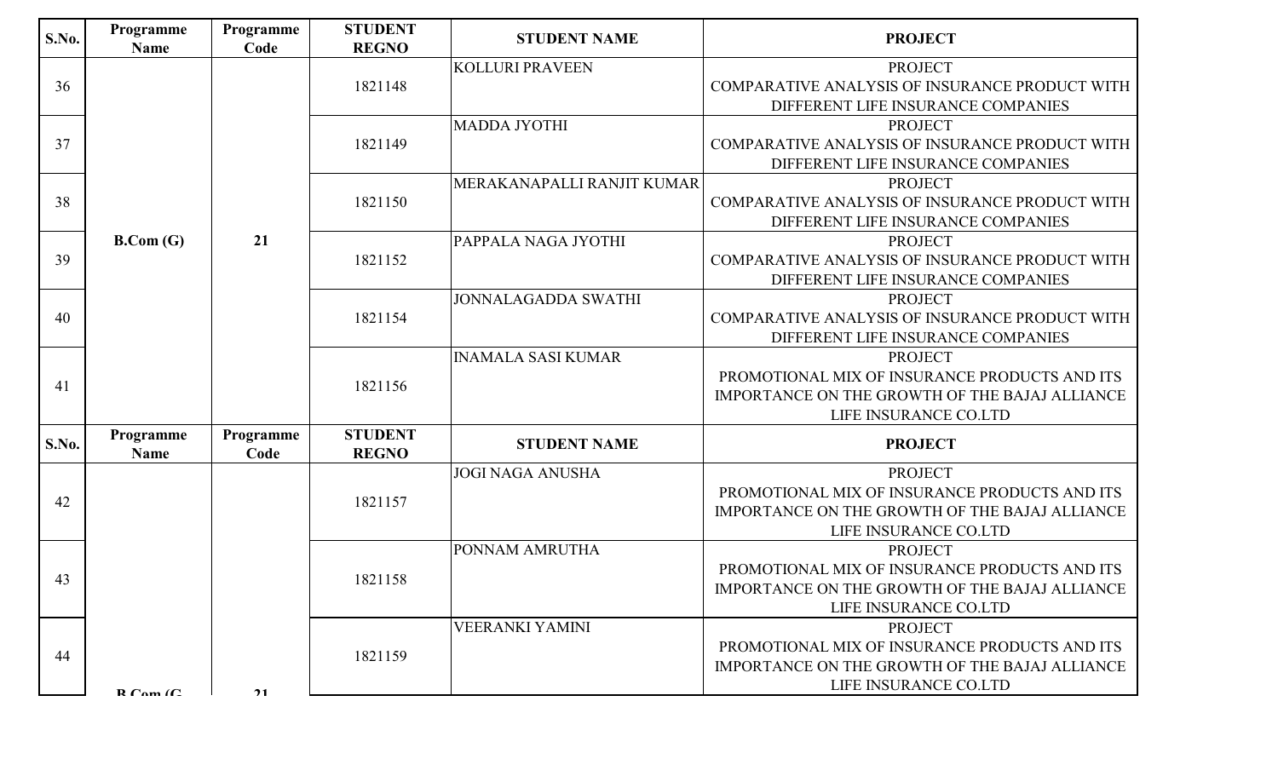| <b>S.No.</b> | Programme<br><b>Name</b>      | Programme<br>Code | <b>STUDENT</b><br><b>REGNO</b> | <b>STUDENT NAME</b>        | <b>PROJECT</b>                                                                                                                             |  |         |                           |                                                                                                                                            |
|--------------|-------------------------------|-------------------|--------------------------------|----------------------------|--------------------------------------------------------------------------------------------------------------------------------------------|--|---------|---------------------------|--------------------------------------------------------------------------------------------------------------------------------------------|
| 36           |                               |                   | 1821148                        | <b>KOLLURI PRAVEEN</b>     | <b>PROJECT</b><br>COMPARATIVE ANALYSIS OF INSURANCE PRODUCT WITH<br>DIFFERENT LIFE INSURANCE COMPANIES                                     |  |         |                           |                                                                                                                                            |
| 37           |                               |                   | 1821149                        | <b>MADDA JYOTHI</b>        | <b>PROJECT</b><br>COMPARATIVE ANALYSIS OF INSURANCE PRODUCT WITH<br>DIFFERENT LIFE INSURANCE COMPANIES                                     |  |         |                           |                                                                                                                                            |
| 38           |                               |                   | 1821150                        | MERAKANAPALLI RANJIT KUMAR | <b>PROJECT</b><br>COMPARATIVE ANALYSIS OF INSURANCE PRODUCT WITH<br>DIFFERENT LIFE INSURANCE COMPANIES                                     |  |         |                           |                                                                                                                                            |
| 39           | B. Com(G)                     | 21                | 1821152                        | PAPPALA NAGA JYOTHI        | <b>PROJECT</b><br>COMPARATIVE ANALYSIS OF INSURANCE PRODUCT WITH<br>DIFFERENT LIFE INSURANCE COMPANIES                                     |  |         |                           |                                                                                                                                            |
| 40           |                               |                   | 1821154                        | <b>JONNALAGADDA SWATHI</b> | <b>PROJECT</b><br>COMPARATIVE ANALYSIS OF INSURANCE PRODUCT WITH<br>DIFFERENT LIFE INSURANCE COMPANIES                                     |  |         |                           |                                                                                                                                            |
| 41           |                               |                   |                                |                            |                                                                                                                                            |  | 1821156 | <b>INAMALA SASI KUMAR</b> | <b>PROJECT</b><br>PROMOTIONAL MIX OF INSURANCE PRODUCTS AND ITS<br>IMPORTANCE ON THE GROWTH OF THE BAJAJ ALLIANCE<br>LIFE INSURANCE CO.LTD |
| <b>S.No.</b> | Programme<br><b>Name</b>      | Programme<br>Code | <b>STUDENT</b><br><b>REGNO</b> | <b>STUDENT NAME</b>        | <b>PROJECT</b>                                                                                                                             |  |         |                           |                                                                                                                                            |
| 42           |                               |                   | 1821157                        | <b>JOGI NAGA ANUSHA</b>    | <b>PROJECT</b><br>PROMOTIONAL MIX OF INSURANCE PRODUCTS AND ITS<br>IMPORTANCE ON THE GROWTH OF THE BAJAJ ALLIANCE<br>LIFE INSURANCE CO.LTD |  |         |                           |                                                                                                                                            |
| 43           |                               |                   | 1821158                        | PONNAM AMRUTHA             | <b>PROJECT</b><br>PROMOTIONAL MIX OF INSURANCE PRODUCTS AND ITS<br>IMPORTANCE ON THE GROWTH OF THE BAJAJ ALLIANCE<br>LIFE INSURANCE CO.LTD |  |         |                           |                                                                                                                                            |
| 44           | $\mathbf{D}$ Cam $\mathbf{C}$ | 21                | 1821159                        | <b>VEERANKI YAMINI</b>     | <b>PROJECT</b><br>PROMOTIONAL MIX OF INSURANCE PRODUCTS AND ITS<br>IMPORTANCE ON THE GROWTH OF THE BAJAJ ALLIANCE<br>LIFE INSURANCE CO.LTD |  |         |                           |                                                                                                                                            |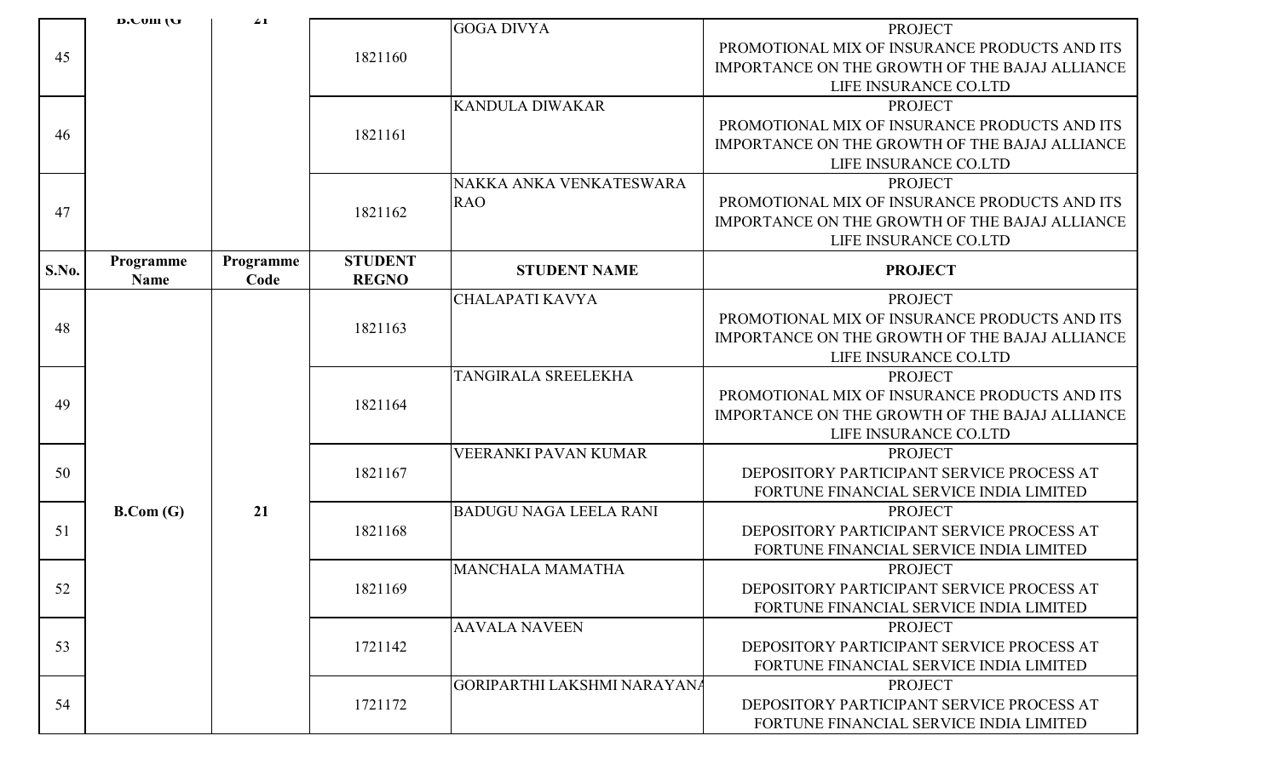|       | n'r nm fr | $\angle$  |                | <b>GOGA DIVYA</b>                  | <b>PROJECT</b>                                 |
|-------|-----------|-----------|----------------|------------------------------------|------------------------------------------------|
|       |           |           |                |                                    | PROMOTIONAL MIX OF INSURANCE PRODUCTS AND ITS  |
| 45    |           |           | 1821160        |                                    | IMPORTANCE ON THE GROWTH OF THE BAJAJ ALLIANCE |
|       |           |           |                |                                    | LIFE INSURANCE CO.LTD                          |
|       |           |           |                | <b>KANDULA DIWAKAR</b>             | <b>PROJECT</b>                                 |
|       |           |           |                |                                    | PROMOTIONAL MIX OF INSURANCE PRODUCTS AND ITS  |
| 46    |           |           | 1821161        |                                    | IMPORTANCE ON THE GROWTH OF THE BAJAJ ALLIANCE |
|       |           |           |                |                                    | LIFE INSURANCE CO.LTD                          |
|       |           |           |                | NAKKA ANKA VENKATESWARA            | <b>PROJECT</b>                                 |
|       |           |           |                | <b>RAO</b>                         | PROMOTIONAL MIX OF INSURANCE PRODUCTS AND ITS  |
| 47    |           |           | 1821162        |                                    | IMPORTANCE ON THE GROWTH OF THE BAJAJ ALLIANCE |
|       |           |           |                |                                    | LIFE INSURANCE CO.LTD                          |
|       | Programme | Programme | <b>STUDENT</b> |                                    |                                                |
| S.No. | Name      | Code      | <b>REGNO</b>   | <b>STUDENT NAME</b>                | <b>PROJECT</b>                                 |
|       |           |           |                | CHALAPATI KAVYA                    | <b>PROJECT</b>                                 |
| 48    |           |           | 1821163        |                                    | PROMOTIONAL MIX OF INSURANCE PRODUCTS AND ITS  |
|       |           |           |                |                                    | IMPORTANCE ON THE GROWTH OF THE BAJAJ ALLIANCE |
|       |           |           |                |                                    | LIFE INSURANCE CO.LTD                          |
|       |           |           |                | TANGIRALA SREELEKHA                | <b>PROJECT</b>                                 |
| 49    |           |           | 1821164        |                                    | PROMOTIONAL MIX OF INSURANCE PRODUCTS AND ITS  |
|       |           |           |                |                                    | IMPORTANCE ON THE GROWTH OF THE BAJAJ ALLIANCE |
|       |           |           |                |                                    | LIFE INSURANCE CO.LTD                          |
|       |           |           |                | <b>VEERANKI PAVAN KUMAR</b>        | <b>PROJECT</b>                                 |
| 50    |           |           | 1821167        |                                    | DEPOSITORY PARTICIPANT SERVICE PROCESS AT      |
|       |           |           |                |                                    | FORTUNE FINANCIAL SERVICE INDIA LIMITED        |
|       | B. Com(G) | 21        |                | <b>BADUGU NAGA LEELA RANI</b>      | <b>PROJECT</b>                                 |
| 51    |           |           | 1821168        |                                    | DEPOSITORY PARTICIPANT SERVICE PROCESS AT      |
|       |           |           |                |                                    | FORTUNE FINANCIAL SERVICE INDIA LIMITED        |
|       |           |           |                | <b>MANCHALA MAMATHA</b>            | <b>PROJECT</b>                                 |
| 52    |           |           | 1821169        |                                    | DEPOSITORY PARTICIPANT SERVICE PROCESS AT      |
|       |           |           |                |                                    | FORTUNE FINANCIAL SERVICE INDIA LIMITED        |
|       |           |           |                | <b>AAVALA NAVEEN</b>               | <b>PROJECT</b>                                 |
| 53    |           |           | 1721142        |                                    | DEPOSITORY PARTICIPANT SERVICE PROCESS AT      |
|       |           |           |                |                                    | FORTUNE FINANCIAL SERVICE INDIA LIMITED        |
|       |           |           |                | <b>GORIPARTHI LAKSHMI NARAYANA</b> | <b>PROJECT</b>                                 |
| 54    |           |           | 1721172        |                                    | DEPOSITORY PARTICIPANT SERVICE PROCESS AT      |
|       |           |           |                |                                    | FORTUNE FINANCIAL SERVICE INDIA LIMITED        |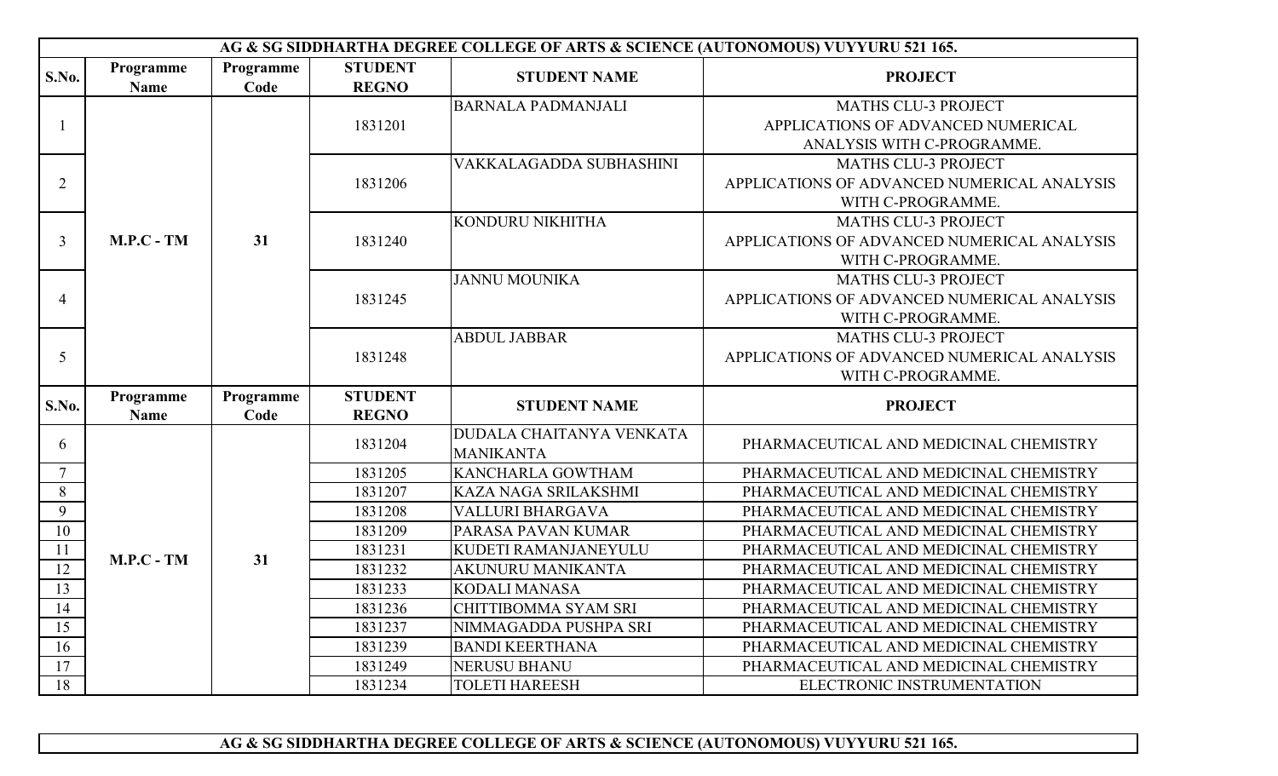|                | AG & SG SIDDHARTHA DEGREE COLLEGE OF ARTS & SCIENCE (AUTONOMOUS) VUYYURU 521 165. |                   |                                |                           |                                             |  |  |  |
|----------------|-----------------------------------------------------------------------------------|-------------------|--------------------------------|---------------------------|---------------------------------------------|--|--|--|
| S.No.          | Programme<br>Name                                                                 | Programme<br>Code | <b>STUDENT</b><br><b>REGNO</b> | <b>STUDENT NAME</b>       | <b>PROJECT</b>                              |  |  |  |
|                |                                                                                   |                   |                                | <b>BARNALA PADMANJALI</b> | <b>MATHS CLU-3 PROJECT</b>                  |  |  |  |
|                |                                                                                   |                   | 1831201                        |                           | APPLICATIONS OF ADVANCED NUMERICAL          |  |  |  |
|                |                                                                                   |                   |                                |                           | ANALYSIS WITH C-PROGRAMME.                  |  |  |  |
|                |                                                                                   |                   |                                | VAKKALAGADDA SUBHASHINI   | <b>MATHS CLU-3 PROJECT</b>                  |  |  |  |
| $\overline{2}$ |                                                                                   |                   | 1831206                        |                           | APPLICATIONS OF ADVANCED NUMERICAL ANALYSIS |  |  |  |
|                |                                                                                   |                   |                                |                           | WITH C-PROGRAMME.                           |  |  |  |
|                |                                                                                   |                   |                                | KONDURU NIKHITHA          | <b>MATHS CLU-3 PROJECT</b>                  |  |  |  |
| $\overline{3}$ | $M.P.C - TM$                                                                      | 31                | 1831240                        |                           | APPLICATIONS OF ADVANCED NUMERICAL ANALYSIS |  |  |  |
|                |                                                                                   |                   |                                |                           | WITH C-PROGRAMME.                           |  |  |  |
|                |                                                                                   |                   |                                | <b>JANNU MOUNIKA</b>      | <b>MATHS CLU-3 PROJECT</b>                  |  |  |  |
| $\overline{4}$ |                                                                                   |                   | 1831245                        |                           | APPLICATIONS OF ADVANCED NUMERICAL ANALYSIS |  |  |  |
|                |                                                                                   |                   |                                |                           | WITH C-PROGRAMME.                           |  |  |  |
|                |                                                                                   |                   |                                | <b>ABDUL JABBAR</b>       | <b>MATHS CLU-3 PROJECT</b>                  |  |  |  |
| 5              |                                                                                   |                   | 1831248                        |                           | APPLICATIONS OF ADVANCED NUMERICAL ANALYSIS |  |  |  |
|                |                                                                                   |                   |                                |                           | WITH C-PROGRAMME.                           |  |  |  |
| S.No.          | Programme                                                                         | Programme         | <b>STUDENT</b>                 | <b>STUDENT NAME</b>       | <b>PROJECT</b>                              |  |  |  |
|                | <b>Name</b>                                                                       | Code              | <b>REGNO</b>                   |                           |                                             |  |  |  |
| 6              |                                                                                   |                   | 1831204                        | DUDALA CHAITANYA VENKATA  | PHARMACEUTICAL AND MEDICINAL CHEMISTRY      |  |  |  |
|                |                                                                                   |                   |                                | <b>MANIKANTA</b>          |                                             |  |  |  |
| $\overline{7}$ |                                                                                   |                   | 1831205                        | KANCHARLA GOWTHAM         | PHARMACEUTICAL AND MEDICINAL CHEMISTRY      |  |  |  |
| 8              |                                                                                   |                   | 1831207                        | KAZA NAGA SRILAKSHMI      | PHARMACEUTICAL AND MEDICINAL CHEMISTRY      |  |  |  |
| 9              |                                                                                   |                   | 1831208                        | VALLURI BHARGAVA          | PHARMACEUTICAL AND MEDICINAL CHEMISTRY      |  |  |  |
| 10             |                                                                                   |                   | 1831209                        | PARASA PAVAN KUMAR        | PHARMACEUTICAL AND MEDICINAL CHEMISTRY      |  |  |  |
| 11             | $M.P.C - TM$                                                                      | 31                | 1831231                        | KUDETI RAMANJANEYULU      | PHARMACEUTICAL AND MEDICINAL CHEMISTRY      |  |  |  |
| 12             |                                                                                   |                   | 1831232                        | <b>AKUNURU MANIKANTA</b>  | PHARMACEUTICAL AND MEDICINAL CHEMISTRY      |  |  |  |
| 13             |                                                                                   |                   | 1831233                        | <b>KODALI MANASA</b>      | PHARMACEUTICAL AND MEDICINAL CHEMISTRY      |  |  |  |
| 14             |                                                                                   |                   | 1831236                        | CHITTIBOMMA SYAM SRI      | PHARMACEUTICAL AND MEDICINAL CHEMISTRY      |  |  |  |
| 15             |                                                                                   |                   | 1831237                        | NIMMAGADDA PUSHPA SRI     | PHARMACEUTICAL AND MEDICINAL CHEMISTRY      |  |  |  |
| 16             |                                                                                   |                   | 1831239                        | <b>BANDI KEERTHANA</b>    | PHARMACEUTICAL AND MEDICINAL CHEMISTRY      |  |  |  |
| 17             |                                                                                   |                   | 1831249                        | NERUSU BHANU              | PHARMACEUTICAL AND MEDICINAL CHEMISTRY      |  |  |  |
| 18             |                                                                                   |                   | 1831234                        | <b>TOLETI HAREESH</b>     | ELECTRONIC INSTRUMENTATION                  |  |  |  |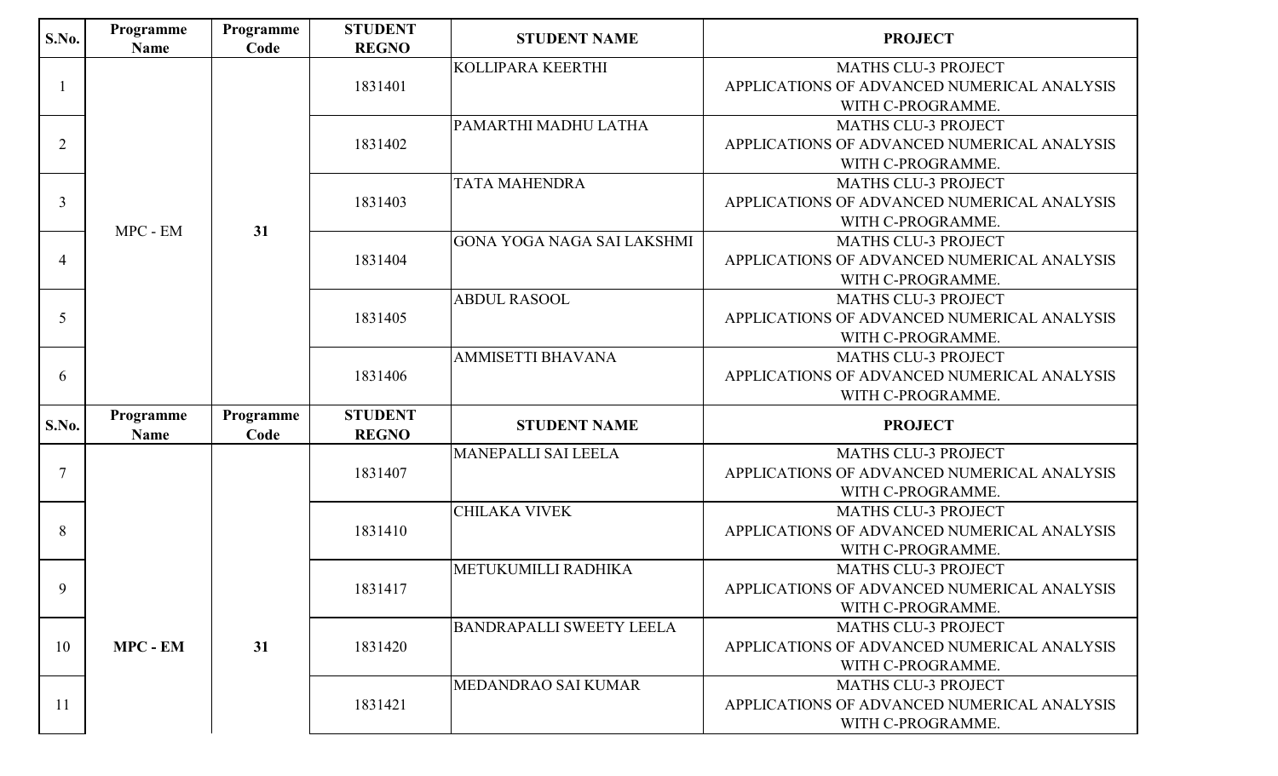| <b>S.No.</b>   | Programme<br><b>Name</b> | Programme<br>Code | <b>STUDENT</b><br><b>REGNO</b> | <b>STUDENT NAME</b>               | <b>PROJECT</b>                                  |
|----------------|--------------------------|-------------------|--------------------------------|-----------------------------------|-------------------------------------------------|
|                |                          |                   |                                | KOLLIPARA KEERTHI                 | <b>MATHS CLU-3 PROJECT</b>                      |
|                |                          |                   | 1831401                        |                                   | APPLICATIONS OF ADVANCED NUMERICAL ANALYSIS     |
|                |                          |                   |                                |                                   | WITH C-PROGRAMME.                               |
|                |                          |                   |                                | PAMARTHI MADHU LATHA              | <b>MATHS CLU-3 PROJECT</b>                      |
| $\overline{2}$ |                          |                   | 1831402                        |                                   | APPLICATIONS OF ADVANCED NUMERICAL ANALYSIS     |
|                |                          |                   |                                |                                   | WITH C-PROGRAMME.                               |
|                |                          |                   |                                | <b>TATA MAHENDRA</b>              | <b>MATHS CLU-3 PROJECT</b>                      |
| 3              |                          |                   | 1831403                        |                                   | APPLICATIONS OF ADVANCED NUMERICAL ANALYSIS     |
|                | MPC - EM                 | 31                |                                |                                   | WITH C-PROGRAMME.                               |
|                |                          |                   |                                | <b>GONA YOGA NAGA SAI LAKSHMI</b> | <b>MATHS CLU-3 PROJECT</b>                      |
| $\overline{4}$ |                          |                   | 1831404                        |                                   | APPLICATIONS OF ADVANCED NUMERICAL ANALYSIS     |
|                |                          |                   |                                |                                   | WITH C-PROGRAMME.                               |
|                |                          |                   | 1831405                        | <b>ABDUL RASOOL</b>               | <b>MATHS CLU-3 PROJECT</b>                      |
| 5              |                          |                   |                                |                                   | APPLICATIONS OF ADVANCED NUMERICAL ANALYSIS     |
|                |                          |                   |                                | <b>AMMISETTI BHAVANA</b>          | WITH C-PROGRAMME.<br><b>MATHS CLU-3 PROJECT</b> |
| 6              |                          |                   | 1831406                        |                                   | APPLICATIONS OF ADVANCED NUMERICAL ANALYSIS     |
|                |                          |                   |                                |                                   | WITH C-PROGRAMME.                               |
|                | Programme                | Programme         | <b>STUDENT</b>                 |                                   |                                                 |
| S.No.          | <b>Name</b>              | Code              | <b>REGNO</b>                   | <b>STUDENT NAME</b>               | <b>PROJECT</b>                                  |
|                |                          |                   |                                | <b>MANEPALLI SAI LEELA</b>        | <b>MATHS CLU-3 PROJECT</b>                      |
| $\overline{7}$ |                          |                   | 1831407                        |                                   | APPLICATIONS OF ADVANCED NUMERICAL ANALYSIS     |
|                |                          |                   |                                |                                   | WITH C-PROGRAMME.                               |
|                |                          |                   |                                | <b>CHILAKA VIVEK</b>              | <b>MATHS CLU-3 PROJECT</b>                      |
| 8              |                          |                   | 1831410                        |                                   | APPLICATIONS OF ADVANCED NUMERICAL ANALYSIS     |
|                |                          |                   |                                |                                   | WITH C-PROGRAMME.                               |
|                |                          |                   |                                | METUKUMILLI RADHIKA               | <b>MATHS CLU-3 PROJECT</b>                      |
| 9              |                          |                   | 1831417                        |                                   | APPLICATIONS OF ADVANCED NUMERICAL ANALYSIS     |
|                |                          |                   |                                |                                   | WITH C-PROGRAMME.                               |
|                |                          |                   |                                | <b>BANDRAPALLI SWEETY LEELA</b>   | <b>MATHS CLU-3 PROJECT</b>                      |
| 10             | <b>MPC - EM</b>          | 31                | 1831420                        |                                   | APPLICATIONS OF ADVANCED NUMERICAL ANALYSIS     |
|                |                          |                   |                                |                                   | WITH C-PROGRAMME.                               |
|                |                          |                   |                                | MEDANDRAO SAI KUMAR               | <b>MATHS CLU-3 PROJECT</b>                      |
| 11             |                          |                   | 1831421                        |                                   | APPLICATIONS OF ADVANCED NUMERICAL ANALYSIS     |
|                |                          |                   |                                |                                   | WITH C-PROGRAMME.                               |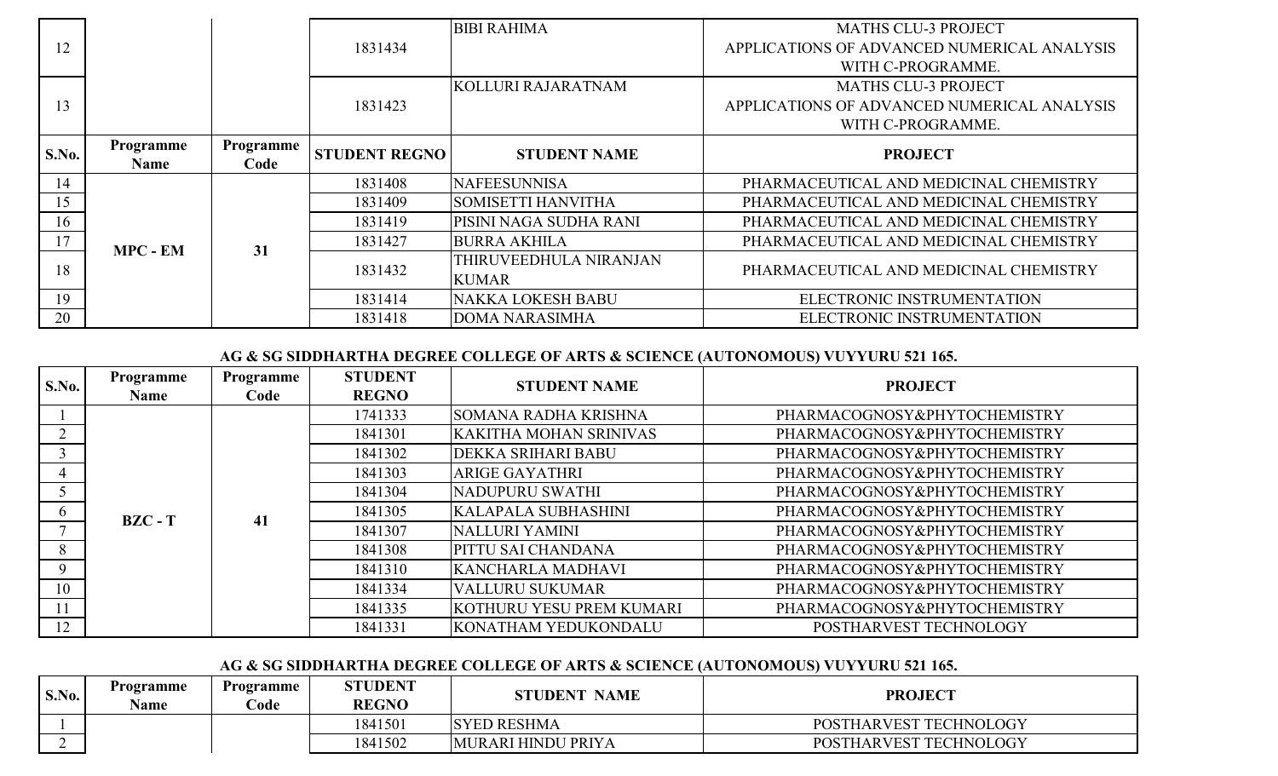|       |                 |           |                      | <b>BIBI RAHIMA</b>        | <b>MATHS CLU-3 PROJECT</b>                  |
|-------|-----------------|-----------|----------------------|---------------------------|---------------------------------------------|
| 12    |                 |           | 1831434              |                           | APPLICATIONS OF ADVANCED NUMERICAL ANALYSIS |
|       |                 |           |                      |                           | WITH C-PROGRAMME.                           |
|       |                 |           |                      | KOLLURI RAJARATNAM        | <b>MATHS CLU-3 PROJECT</b>                  |
| 13    |                 |           | 1831423              |                           | APPLICATIONS OF ADVANCED NUMERICAL ANALYSIS |
|       |                 |           |                      |                           | WITH C-PROGRAMME.                           |
| S.No. | Programme       | Programme | <b>STUDENT REGNO</b> | <b>STUDENT NAME</b>       | <b>PROJECT</b>                              |
|       | <b>Name</b>     | Code      |                      |                           |                                             |
| 14    |                 |           | 1831408              | <b>NAFEESUNNISA</b>       | PHARMACEUTICAL AND MEDICINAL CHEMISTRY      |
| 15    |                 |           | 1831409              | <b>SOMISETTI HANVITHA</b> | PHARMACEUTICAL AND MEDICINAL CHEMISTRY      |
| 16    |                 |           | 1831419              | PISINI NAGA SUDHA RANI    | PHARMACEUTICAL AND MEDICINAL CHEMISTRY      |
| 17    | <b>MPC - EM</b> | 31        | 1831427              | <b>BURRA AKHILA</b>       | PHARMACEUTICAL AND MEDICINAL CHEMISTRY      |
| 18    |                 |           | 1831432              | THIRUVEEDHULA NIRANJAN    | PHARMACEUTICAL AND MEDICINAL CHEMISTRY      |
|       |                 |           |                      | <b>KUMAR</b>              |                                             |
| 19    |                 |           | 1831414              | <b>NAKKA LOKESH BABU</b>  | ELECTRONIC INSTRUMENTATION                  |
| 20    |                 |           | 1831418              | <b>DOMA NARASIMHA</b>     | ELECTRONIC INSTRUMENTATION                  |

| S.No.         | Programme<br><b>Name</b> | Programme<br>Code                                                                                 | <b>STUDENT</b><br><b>REGNO</b> | <b>STUDENT NAME</b>           | <b>PROJECT</b>               |
|---------------|--------------------------|---------------------------------------------------------------------------------------------------|--------------------------------|-------------------------------|------------------------------|
|               |                          |                                                                                                   | 1741333                        | <b>SOMANA RADHA KRISHNA</b>   | PHARMACOGNOSY&PHYTOCHEMISTRY |
|               |                          |                                                                                                   | 1841301                        | <b>KAKITHA MOHAN SRINIVAS</b> | PHARMACOGNOSY&PHYTOCHEMISTRY |
|               |                          |                                                                                                   | 1841302                        | <b>DEKKA SRIHARI BABU</b>     | PHARMACOGNOSY&PHYTOCHEMISTRY |
|               |                          |                                                                                                   | 1841303                        | <b>ARIGE GAYATHRI</b>         | PHARMACOGNOSY&PHYTOCHEMISTRY |
|               |                          |                                                                                                   | 1841304                        | NADUPURU SWATHI               | PHARMACOGNOSY&PHYTOCHEMISTRY |
| $\mathfrak b$ | $BZC - T$                | 41                                                                                                | 1841305                        | <b>KALAPALA SUBHASHINI</b>    | PHARMACOGNOSY&PHYTOCHEMISTRY |
|               |                          | NALLURI YAMINI<br>1841307<br>PITTU SAI CHANDANA<br>1841308<br><b>KANCHARLA MADHAVI</b><br>1841310 |                                |                               | PHARMACOGNOSY&PHYTOCHEMISTRY |
| 8             |                          |                                                                                                   | PHARMACOGNOSY&PHYTOCHEMISTRY   |                               |                              |
| 9             |                          |                                                                                                   |                                |                               | PHARMACOGNOSY&PHYTOCHEMISTRY |
| 10            |                          |                                                                                                   | 1841334                        | <b>VALLURU SUKUMAR</b>        | PHARMACOGNOSY&PHYTOCHEMISTRY |
|               |                          |                                                                                                   | 1841335                        | KOTHURU YESU PREM KUMARI      | PHARMACOGNOSY&PHYTOCHEMISTRY |
| 12            |                          |                                                                                                   | 1841331                        | <b>KONATHAM YEDUKONDALU</b>   | POSTHARVEST TECHNOLOGY       |

| S.No. | Programme<br><b>Name</b> | <b>Programme</b><br>`ode | <b>STUDENT</b><br><b>REGNO</b> | <b>STUDENT NAME</b> | <b>PROJECT</b>         |
|-------|--------------------------|--------------------------|--------------------------------|---------------------|------------------------|
|       |                          |                          | 1841501                        | <b>SYED RESHMA</b>  | POSTHARVEST TECHNOLOGY |
|       |                          |                          | 1841502                        | MURARI HINDU PRIYA  | POSTHARVEST TECHNOLOGY |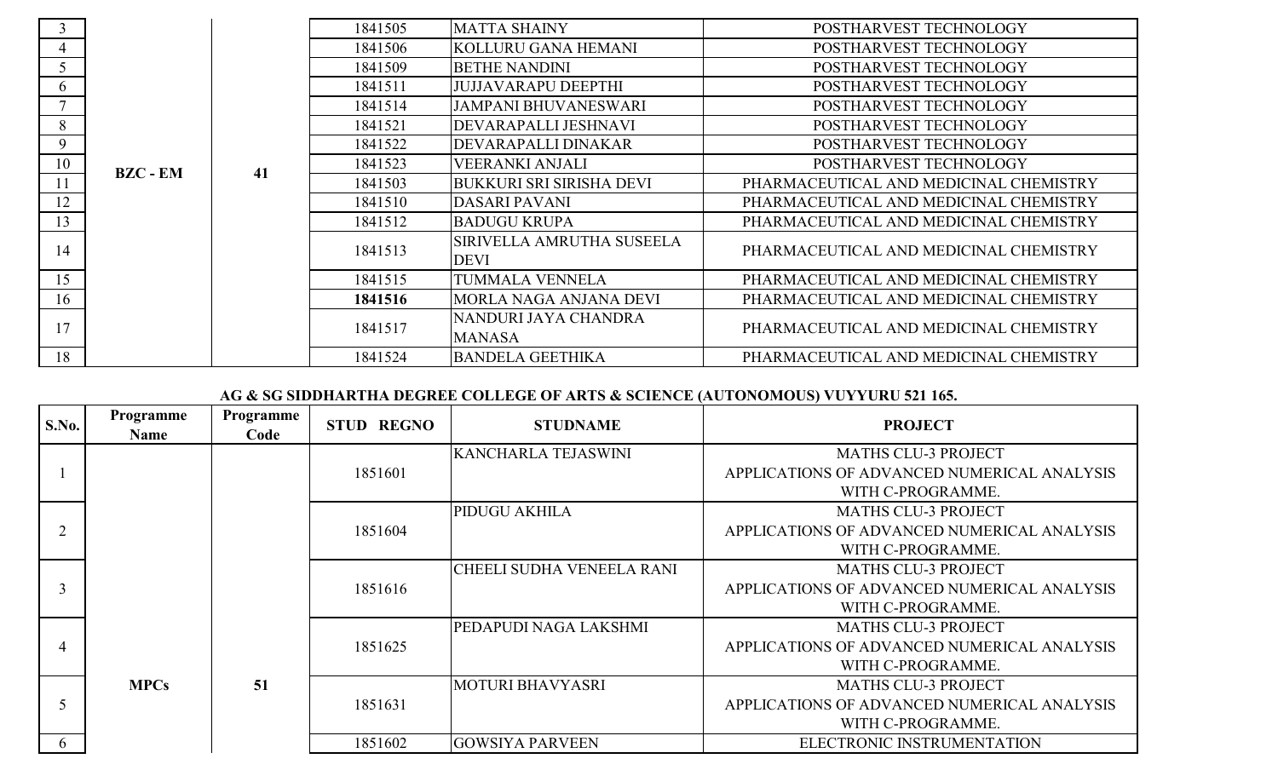|    |                 |  | 1841505 | <b>MATTA SHAINY</b>                      | POSTHARVEST TECHNOLOGY                 |  |         |                        |                        |
|----|-----------------|--|---------|------------------------------------------|----------------------------------------|--|---------|------------------------|------------------------|
|    |                 |  | 1841506 | KOLLURU GANA HEMANI                      | POSTHARVEST TECHNOLOGY                 |  |         |                        |                        |
|    |                 |  | 1841509 | <b>BETHE NANDINI</b>                     | POSTHARVEST TECHNOLOGY                 |  |         |                        |                        |
| 6  |                 |  | 1841511 | <b>JUJJAVARAPU DEEPTHI</b>               | POSTHARVEST TECHNOLOGY                 |  |         |                        |                        |
|    |                 |  | 1841514 | <b>JAMPANI BHUVANESWARI</b>              | POSTHARVEST TECHNOLOGY                 |  |         |                        |                        |
| 8  |                 |  | 1841521 | DEVARAPALLI JESHNAVI                     | POSTHARVEST TECHNOLOGY                 |  |         |                        |                        |
| 9  |                 |  | 1841522 | DEVARAPALLI DINAKAR                      | POSTHARVEST TECHNOLOGY                 |  |         |                        |                        |
| 10 | <b>BZC - EM</b> |  |         |                                          | 41                                     |  | 1841523 | <b>VEERANKI ANJALI</b> | POSTHARVEST TECHNOLOGY |
|    |                 |  | 1841503 | <b>BUKKURI SRI SIRISHA DEVI</b>          | PHARMACEUTICAL AND MEDICINAL CHEMISTRY |  |         |                        |                        |
| 12 |                 |  | 1841510 | <b>DASARI PAVANI</b>                     | PHARMACEUTICAL AND MEDICINAL CHEMISTRY |  |         |                        |                        |
| 13 |                 |  | 1841512 | <b>BADUGU KRUPA</b>                      | PHARMACEUTICAL AND MEDICINAL CHEMISTRY |  |         |                        |                        |
| 14 |                 |  | 1841513 | SIRIVELLA AMRUTHA SUSEELA<br><b>DEVI</b> | PHARMACEUTICAL AND MEDICINAL CHEMISTRY |  |         |                        |                        |
| 15 |                 |  | 1841515 | <b>TUMMALA VENNELA</b>                   | PHARMACEUTICAL AND MEDICINAL CHEMISTRY |  |         |                        |                        |
| 16 |                 |  | 1841516 | MORLA NAGA ANJANA DEVI                   | PHARMACEUTICAL AND MEDICINAL CHEMISTRY |  |         |                        |                        |
| 17 |                 |  | 1841517 | NANDURI JAYA CHANDRA                     | PHARMACEUTICAL AND MEDICINAL CHEMISTRY |  |         |                        |                        |
|    |                 |  |         | <b>MANASA</b>                            |                                        |  |         |                        |                        |
| 18 |                 |  | 1841524 | <b>BANDELA GEETHIKA</b>                  | PHARMACEUTICAL AND MEDICINAL CHEMISTRY |  |         |                        |                        |

| S.No.          | Programme<br><b>Name</b> | Programme<br>Code | <b>STUD REGNO</b> | <b>STUDNAME</b>                  | <b>PROJECT</b>                              |
|----------------|--------------------------|-------------------|-------------------|----------------------------------|---------------------------------------------|
|                |                          |                   |                   | <b>KANCHARLA TEJASWINI</b>       | <b>MATHS CLU-3 PROJECT</b>                  |
|                |                          |                   | 1851601           |                                  | APPLICATIONS OF ADVANCED NUMERICAL ANALYSIS |
|                |                          |                   |                   |                                  | WITH C-PROGRAMME.                           |
|                |                          |                   |                   | <b>PIDUGU AKHILA</b>             | <b>MATHS CLU-3 PROJECT</b>                  |
| $\overline{2}$ |                          |                   | 1851604           |                                  | APPLICATIONS OF ADVANCED NUMERICAL ANALYSIS |
|                |                          |                   |                   |                                  | WITH C-PROGRAMME.                           |
|                |                          |                   |                   | <b>CHEELI SUDHA VENEELA RANI</b> | <b>MATHS CLU-3 PROJECT</b>                  |
|                |                          |                   | 1851616           |                                  | APPLICATIONS OF ADVANCED NUMERICAL ANALYSIS |
|                |                          |                   |                   |                                  | WITH C-PROGRAMME.                           |
|                |                          |                   |                   | PEDAPUDI NAGA LAKSHMI            | <b>MATHS CLU-3 PROJECT</b>                  |
| 4              |                          |                   | 1851625           |                                  | APPLICATIONS OF ADVANCED NUMERICAL ANALYSIS |
|                |                          |                   |                   |                                  | WITH C-PROGRAMME.                           |
|                | <b>MPCs</b>              | 51                |                   | <b>MOTURI BHAVYASRI</b>          | <b>MATHS CLU-3 PROJECT</b>                  |
|                |                          |                   | 1851631           |                                  | APPLICATIONS OF ADVANCED NUMERICAL ANALYSIS |
|                |                          |                   |                   |                                  | WITH C-PROGRAMME.                           |
| 6              |                          |                   | 1851602           | <b>GOWSIYA PARVEEN</b>           | ELECTRONIC INSTRUMENTATION                  |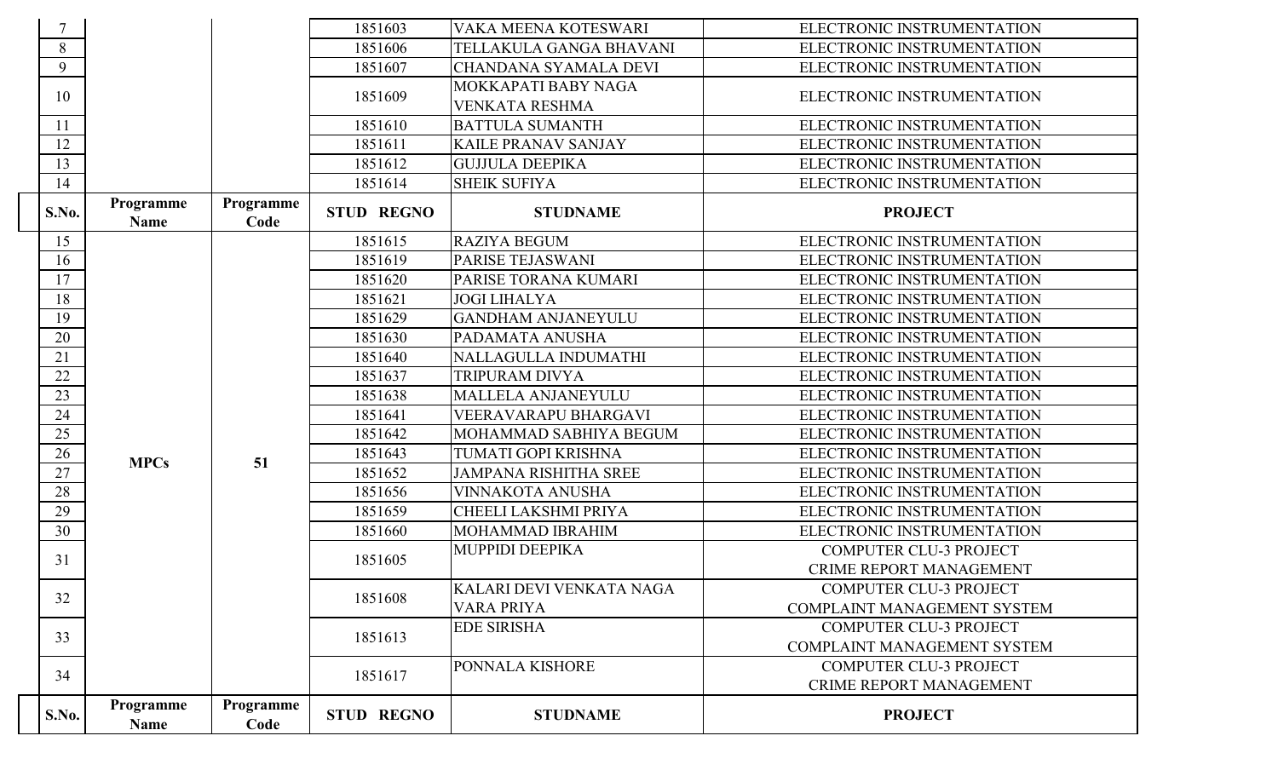|              |                          |                   | 1851603           | VAKA MEENA KOTESWARI         | ELECTRONIC INSTRUMENTATION         |
|--------------|--------------------------|-------------------|-------------------|------------------------------|------------------------------------|
| 8            |                          |                   | 1851606           | TELLAKULA GANGA BHAVANI      | ELECTRONIC INSTRUMENTATION         |
| 9            |                          |                   | 1851607           | CHANDANA SYAMALA DEVI        | ELECTRONIC INSTRUMENTATION         |
| 10           |                          |                   | 1851609           | MOKKAPATI BABY NAGA          | ELECTRONIC INSTRUMENTATION         |
|              |                          |                   |                   | <b>VENKATA RESHMA</b>        |                                    |
| 11           |                          |                   | 1851610           | <b>BATTULA SUMANTH</b>       | ELECTRONIC INSTRUMENTATION         |
| 12           |                          |                   | 1851611           | <b>KAILE PRANAV SANJAY</b>   | ELECTRONIC INSTRUMENTATION         |
| 13           |                          |                   | 1851612           | <b>GUJJULA DEEPIKA</b>       | ELECTRONIC INSTRUMENTATION         |
| 14           |                          |                   | 1851614           | <b>SHEIK SUFIYA</b>          | ELECTRONIC INSTRUMENTATION         |
| S.No.        | Programme<br><b>Name</b> | Programme<br>Code | <b>STUD REGNO</b> | <b>STUDNAME</b>              | <b>PROJECT</b>                     |
| 15           |                          |                   | 1851615           | <b>RAZIYA BEGUM</b>          | ELECTRONIC INSTRUMENTATION         |
| 16           |                          |                   | 1851619           | PARISE TEJASWANI             | ELECTRONIC INSTRUMENTATION         |
| 17           |                          |                   | 1851620           | PARISE TORANA KUMARI         | ELECTRONIC INSTRUMENTATION         |
| 18           |                          |                   | 1851621           | <b>JOGI LIHALYA</b>          | ELECTRONIC INSTRUMENTATION         |
| 19           |                          |                   | 1851629           | <b>GANDHAM ANJANEYULU</b>    | ELECTRONIC INSTRUMENTATION         |
| 20           |                          |                   | 1851630           | PADAMATA ANUSHA              | ELECTRONIC INSTRUMENTATION         |
| 21           |                          |                   | 1851640           | NALLAGULLA INDUMATHI         | ELECTRONIC INSTRUMENTATION         |
| 22           |                          |                   | 1851637           | <b>TRIPURAM DIVYA</b>        | ELECTRONIC INSTRUMENTATION         |
| 23           |                          |                   | 1851638           | MALLELA ANJANEYULU           | ELECTRONIC INSTRUMENTATION         |
| 24           |                          |                   | 1851641           | <b>VEERAVARAPU BHARGAVI</b>  | ELECTRONIC INSTRUMENTATION         |
| 25           |                          |                   | 1851642           | MOHAMMAD SABHIYA BEGUM       | ELECTRONIC INSTRUMENTATION         |
| 26           | <b>MPCs</b>              | 51                | 1851643           | TUMATI GOPI KRISHNA          | ELECTRONIC INSTRUMENTATION         |
| 27           |                          |                   | 1851652           | <b>JAMPANA RISHITHA SREE</b> | ELECTRONIC INSTRUMENTATION         |
| 28           |                          |                   | 1851656           | <b>VINNAKOTA ANUSHA</b>      | ELECTRONIC INSTRUMENTATION         |
| 29           |                          |                   | 1851659           | CHEELI LAKSHMI PRIYA         | ELECTRONIC INSTRUMENTATION         |
| 30           |                          |                   | 1851660           | MOHAMMAD IBRAHIM             | ELECTRONIC INSTRUMENTATION         |
| 31           |                          |                   | 1851605           | <b>MUPPIDI DEEPIKA</b>       | <b>COMPUTER CLU-3 PROJECT</b>      |
|              |                          |                   |                   |                              | <b>CRIME REPORT MANAGEMENT</b>     |
| 32           |                          |                   | 1851608           | KALARI DEVI VENKATA NAGA     | COMPUTER CLU-3 PROJECT             |
|              |                          |                   |                   | <b>VARA PRIYA</b>            | <b>COMPLAINT MANAGEMENT SYSTEM</b> |
| 33           |                          |                   | 1851613           | <b>EDE SIRISHA</b>           | <b>COMPUTER CLU-3 PROJECT</b>      |
|              |                          |                   |                   |                              | <b>COMPLAINT MANAGEMENT SYSTEM</b> |
| 34           |                          |                   | 1851617           | PONNALA KISHORE              | <b>COMPUTER CLU-3 PROJECT</b>      |
|              |                          |                   |                   |                              | <b>CRIME REPORT MANAGEMENT</b>     |
| <b>S.No.</b> | Programme<br><b>Name</b> | Programme<br>Code | <b>STUD REGNO</b> | <b>STUDNAME</b>              | <b>PROJECT</b>                     |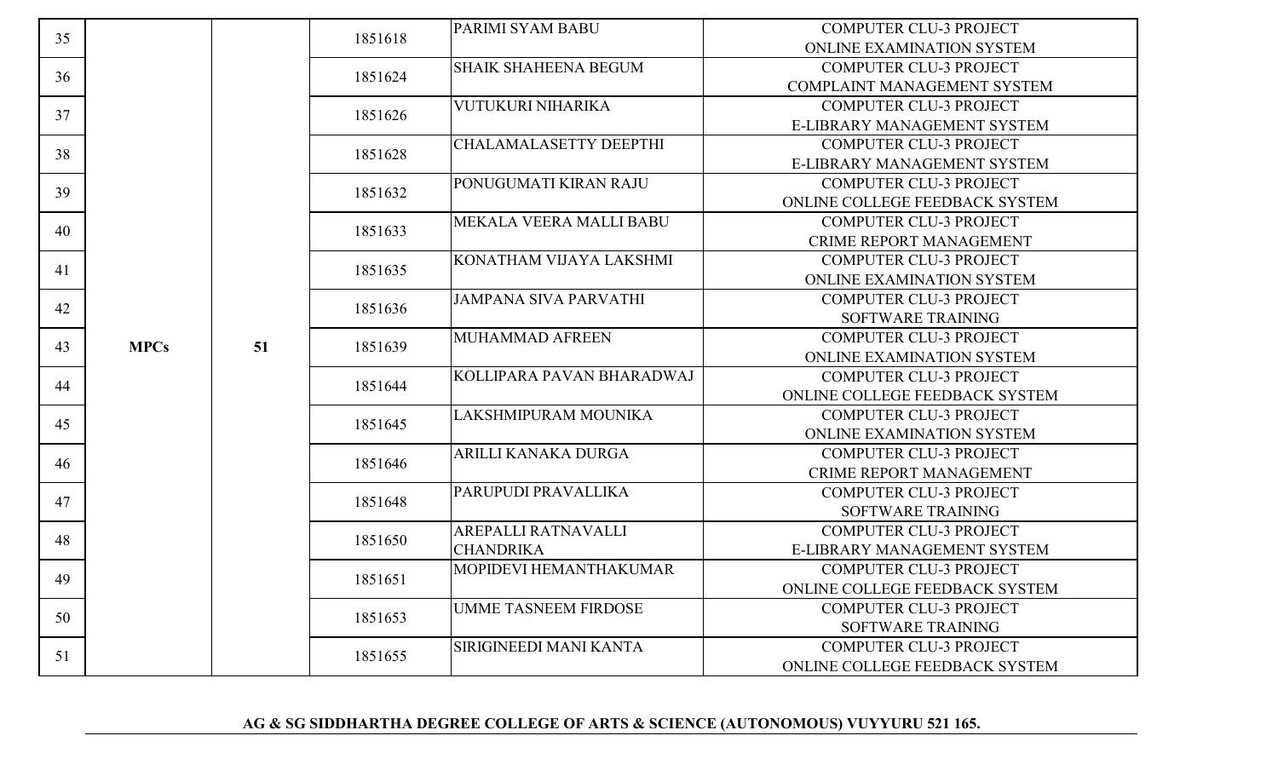| 35 |             |    | 1851618 | <b>PARIMI SYAM BABU</b>       | <b>COMPUTER CLU-3 PROJECT</b>      |                                |                               |
|----|-------------|----|---------|-------------------------------|------------------------------------|--------------------------------|-------------------------------|
|    |             |    |         |                               | <b>ONLINE EXAMINATION SYSTEM</b>   |                                |                               |
| 36 |             |    | 1851624 | <b>SHAIK SHAHEENA BEGUM</b>   | <b>COMPUTER CLU-3 PROJECT</b>      |                                |                               |
|    |             |    |         |                               | <b>COMPLAINT MANAGEMENT SYSTEM</b> |                                |                               |
| 37 |             |    | 1851626 | VUTUKURI NIHARIKA             | <b>COMPUTER CLU-3 PROJECT</b>      |                                |                               |
|    |             |    |         |                               | E-LIBRARY MANAGEMENT SYSTEM        |                                |                               |
| 38 |             |    | 1851628 | <b>CHALAMALASETTY DEEPTHI</b> | <b>COMPUTER CLU-3 PROJECT</b>      |                                |                               |
|    |             |    |         |                               | E-LIBRARY MANAGEMENT SYSTEM        |                                |                               |
| 39 |             |    | 1851632 | PONUGUMATI KIRAN RAJU         | <b>COMPUTER CLU-3 PROJECT</b>      |                                |                               |
|    |             |    |         |                               | ONLINE COLLEGE FEEDBACK SYSTEM     |                                |                               |
| 40 |             |    | 1851633 | MEKALA VEERA MALLI BABU       | <b>COMPUTER CLU-3 PROJECT</b>      |                                |                               |
|    |             |    |         |                               | <b>CRIME REPORT MANAGEMENT</b>     |                                |                               |
|    |             |    |         | KONATHAM VIJAYA LAKSHMI       | <b>COMPUTER CLU-3 PROJECT</b>      |                                |                               |
| 41 |             |    | 1851635 |                               | ONLINE EXAMINATION SYSTEM          |                                |                               |
|    |             |    |         | <b>JAMPANA SIVA PARVATHI</b>  | <b>COMPUTER CLU-3 PROJECT</b>      |                                |                               |
| 42 |             |    | 1851636 |                               | SOFTWARE TRAINING                  |                                |                               |
|    |             |    | 1851639 | MUHAMMAD AFREEN               | <b>COMPUTER CLU-3 PROJECT</b>      |                                |                               |
| 43 | <b>MPCs</b> | 51 |         |                               | ONLINE EXAMINATION SYSTEM          |                                |                               |
|    |             |    |         | KOLLIPARA PAVAN BHARADWAJ     | <b>COMPUTER CLU-3 PROJECT</b>      |                                |                               |
| 44 |             |    | 1851644 |                               | ONLINE COLLEGE FEEDBACK SYSTEM     |                                |                               |
|    |             |    |         | LAKSHMIPURAM MOUNIKA          | <b>COMPUTER CLU-3 PROJECT</b>      |                                |                               |
| 45 |             |    | 1851645 |                               | ONLINE EXAMINATION SYSTEM          |                                |                               |
|    |             |    |         |                               |                                    | ARILLI KANAKA DURGA            | <b>COMPUTER CLU-3 PROJECT</b> |
| 46 |             |    | 1851646 |                               | <b>CRIME REPORT MANAGEMENT</b>     |                                |                               |
|    |             |    |         | PARUPUDI PRAVALLIKA           | <b>COMPUTER CLU-3 PROJECT</b>      |                                |                               |
| 47 |             |    | 1851648 |                               | SOFTWARE TRAINING                  |                                |                               |
|    |             |    |         | AREPALLI RATNAVALLI           | <b>COMPUTER CLU-3 PROJECT</b>      |                                |                               |
| 48 |             |    | 1851650 | <b>CHANDRIKA</b>              | E-LIBRARY MANAGEMENT SYSTEM        |                                |                               |
|    |             |    |         | MOPIDEVI HEMANTHAKUMAR        | <b>COMPUTER CLU-3 PROJECT</b>      |                                |                               |
| 49 |             |    | 1851651 |                               | ONLINE COLLEGE FEEDBACK SYSTEM     |                                |                               |
|    |             |    |         | <b>UMME TASNEEM FIRDOSE</b>   | <b>COMPUTER CLU-3 PROJECT</b>      |                                |                               |
| 50 |             |    | 1851653 |                               | SOFTWARE TRAINING                  |                                |                               |
|    |             |    |         | SIRIGINEEDI MANI KANTA        | <b>COMPUTER CLU-3 PROJECT</b>      |                                |                               |
| 51 |             |    |         | 1851655                       |                                    | ONLINE COLLEGE FEEDBACK SYSTEM |                               |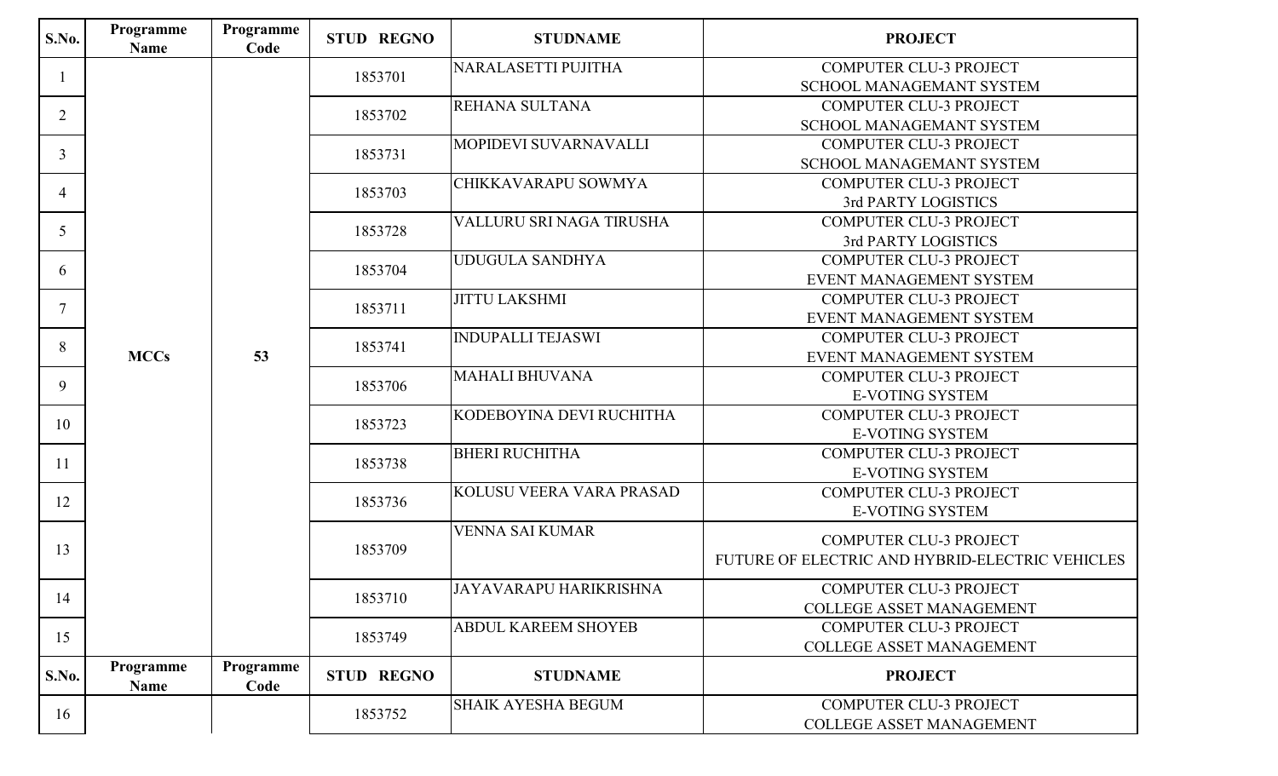| S.No.          | Programme<br><b>Name</b> | Programme<br>Code | <b>STUD REGNO</b> | <b>STUDNAME</b>            | <b>PROJECT</b>                                  |  |  |  |                        |
|----------------|--------------------------|-------------------|-------------------|----------------------------|-------------------------------------------------|--|--|--|------------------------|
|                |                          |                   | 1853701           | NARALASETTI PUJITHA        | <b>COMPUTER CLU-3 PROJECT</b>                   |  |  |  |                        |
|                |                          |                   |                   |                            | <b>SCHOOL MANAGEMANT SYSTEM</b>                 |  |  |  |                        |
| $\overline{2}$ |                          |                   | 1853702           | REHANA SULTANA             | <b>COMPUTER CLU-3 PROJECT</b>                   |  |  |  |                        |
|                |                          |                   |                   |                            | <b>SCHOOL MANAGEMANT SYSTEM</b>                 |  |  |  |                        |
| $\overline{3}$ |                          |                   | 1853731           | MOPIDEVI SUVARNAVALLI      | <b>COMPUTER CLU-3 PROJECT</b>                   |  |  |  |                        |
|                |                          |                   |                   |                            | SCHOOL MANAGEMANT SYSTEM                        |  |  |  |                        |
| $\overline{4}$ |                          |                   | 1853703           | CHIKKAVARAPU SOWMYA        | <b>COMPUTER CLU-3 PROJECT</b>                   |  |  |  |                        |
|                |                          |                   |                   |                            | 3rd PARTY LOGISTICS                             |  |  |  |                        |
| 5              |                          |                   | 1853728           | VALLURU SRI NAGA TIRUSHA   | <b>COMPUTER CLU-3 PROJECT</b>                   |  |  |  |                        |
|                |                          |                   |                   |                            | 3rd PARTY LOGISTICS                             |  |  |  |                        |
| 6              |                          |                   | 1853704           | <b>UDUGULA SANDHYA</b>     | <b>COMPUTER CLU-3 PROJECT</b>                   |  |  |  |                        |
|                |                          |                   |                   |                            | EVENT MANAGEMENT SYSTEM                         |  |  |  |                        |
| $\overline{7}$ |                          |                   | 1853711           | <b>JITTU LAKSHMI</b>       | <b>COMPUTER CLU-3 PROJECT</b>                   |  |  |  |                        |
|                |                          |                   |                   |                            | EVENT MANAGEMENT SYSTEM                         |  |  |  |                        |
| 8              |                          |                   | 1853741           | <b>INDUPALLI TEJASWI</b>   | <b>COMPUTER CLU-3 PROJECT</b>                   |  |  |  |                        |
|                | <b>MCCs</b>              | 53                |                   |                            | EVENT MANAGEMENT SYSTEM                         |  |  |  |                        |
| 9              |                          |                   | 1853706           | <b>MAHALI BHUVANA</b>      | <b>COMPUTER CLU-3 PROJECT</b>                   |  |  |  |                        |
|                |                          |                   |                   |                            | <b>E-VOTING SYSTEM</b>                          |  |  |  |                        |
| 10             |                          |                   | 1853723           | KODEBOYINA DEVI RUCHITHA   | <b>COMPUTER CLU-3 PROJECT</b>                   |  |  |  |                        |
|                |                          |                   |                   |                            | <b>E-VOTING SYSTEM</b>                          |  |  |  |                        |
| 11             |                          |                   | 1853738           | <b>BHERI RUCHITHA</b>      | <b>COMPUTER CLU-3 PROJECT</b>                   |  |  |  |                        |
|                |                          |                   |                   |                            | <b>E-VOTING SYSTEM</b>                          |  |  |  |                        |
| 12             |                          |                   | 1853736           | KOLUSU VEERA VARA PRASAD   | <b>COMPUTER CLU-3 PROJECT</b>                   |  |  |  |                        |
|                |                          |                   |                   |                            |                                                 |  |  |  | <b>E-VOTING SYSTEM</b> |
|                |                          |                   |                   | <b>VENNA SAI KUMAR</b>     | <b>COMPUTER CLU-3 PROJECT</b>                   |  |  |  |                        |
| 13             |                          |                   | 1853709           |                            | FUTURE OF ELECTRIC AND HYBRID-ELECTRIC VEHICLES |  |  |  |                        |
|                |                          |                   |                   |                            |                                                 |  |  |  |                        |
| 14             |                          |                   | 1853710           | JAYAVARAPU HARIKRISHNA     | COMPUTER CLU-3 PROJECT                          |  |  |  |                        |
|                |                          |                   |                   |                            | <b>COLLEGE ASSET MANAGEMENT</b>                 |  |  |  |                        |
| 15             |                          |                   | 1853749           | <b>ABDUL KAREEM SHOYEB</b> | <b>COMPUTER CLU-3 PROJECT</b>                   |  |  |  |                        |
|                |                          |                   |                   |                            | COLLEGE ASSET MANAGEMENT                        |  |  |  |                        |
| S.No.          | Programme<br><b>Name</b> | Programme<br>Code | <b>STUD REGNO</b> | <b>STUDNAME</b>            | <b>PROJECT</b>                                  |  |  |  |                        |
| 16             |                          |                   | 1853752           | <b>SHAIK AYESHA BEGUM</b>  | <b>COMPUTER CLU-3 PROJECT</b>                   |  |  |  |                        |
|                |                          |                   |                   |                            | <b>COLLEGE ASSET MANAGEMENT</b>                 |  |  |  |                        |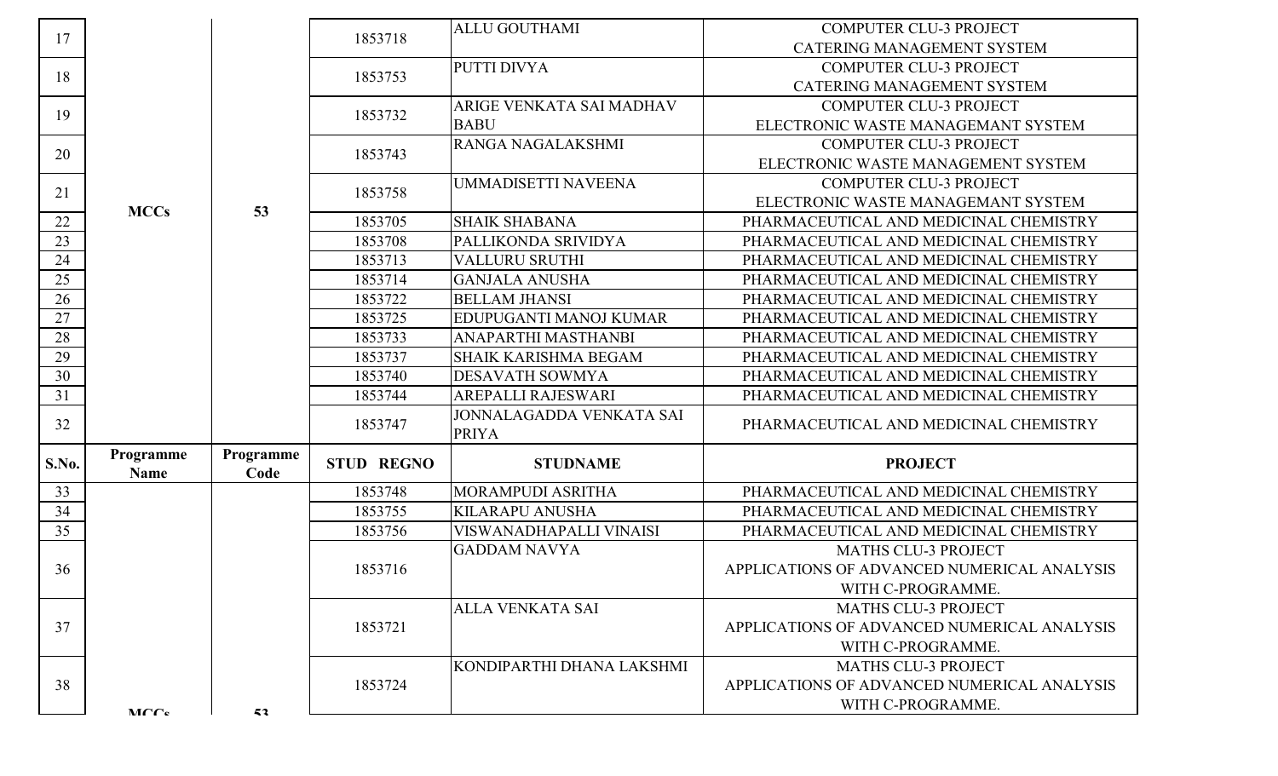| 17     |                   |                   | 1853718           | <b>ALLU GOUTHAMI</b>                     | <b>COMPUTER CLU-3 PROJECT</b><br><b>CATERING MANAGEMENT SYSTEM</b> |
|--------|-------------------|-------------------|-------------------|------------------------------------------|--------------------------------------------------------------------|
|        |                   |                   |                   | PUTTI DIVYA                              | <b>COMPUTER CLU-3 PROJECT</b>                                      |
| 18     |                   |                   | 1853753           |                                          | <b>CATERING MANAGEMENT SYSTEM</b>                                  |
|        |                   |                   |                   | ARIGE VENKATA SAI MADHAV                 | <b>COMPUTER CLU-3 PROJECT</b>                                      |
| 19     |                   |                   | 1853732           | <b>BABU</b>                              | ELECTRONIC WASTE MANAGEMANT SYSTEM                                 |
|        |                   |                   |                   | RANGA NAGALAKSHMI                        | <b>COMPUTER CLU-3 PROJECT</b>                                      |
| 20     |                   |                   | 1853743           |                                          | ELECTRONIC WASTE MANAGEMENT SYSTEM                                 |
|        |                   |                   |                   | <b>UMMADISETTI NAVEENA</b>               | <b>COMPUTER CLU-3 PROJECT</b>                                      |
| 21     | <b>MCCs</b>       | 53                | 1853758           |                                          | ELECTRONIC WASTE MANAGEMANT SYSTEM                                 |
| 22     |                   |                   | 1853705           | <b>SHAIK SHABANA</b>                     | PHARMACEUTICAL AND MEDICINAL CHEMISTRY                             |
| 23     |                   |                   | 1853708           | PALLIKONDA SRIVIDYA                      | PHARMACEUTICAL AND MEDICINAL CHEMISTRY                             |
| 24     |                   |                   | 1853713           | <b>VALLURU SRUTHI</b>                    | PHARMACEUTICAL AND MEDICINAL CHEMISTRY                             |
| 25     |                   |                   | 1853714           | <b>GANJALA ANUSHA</b>                    | PHARMACEUTICAL AND MEDICINAL CHEMISTRY                             |
| 26     |                   |                   | 1853722           | <b>BELLAM JHANSI</b>                     | PHARMACEUTICAL AND MEDICINAL CHEMISTRY                             |
| 27     |                   |                   | 1853725           | EDUPUGANTI MANOJ KUMAR                   | PHARMACEUTICAL AND MEDICINAL CHEMISTRY                             |
| $28\,$ |                   |                   | 1853733           | ANAPARTHI MASTHANBI                      | PHARMACEUTICAL AND MEDICINAL CHEMISTRY                             |
| 29     |                   |                   | 1853737           | SHAIK KARISHMA BEGAM                     | PHARMACEUTICAL AND MEDICINAL CHEMISTRY                             |
| 30     |                   |                   | 1853740           | <b>DESAVATH SOWMYA</b>                   | PHARMACEUTICAL AND MEDICINAL CHEMISTRY                             |
| 31     |                   |                   | 1853744           | AREPALLI RAJESWARI                       | PHARMACEUTICAL AND MEDICINAL CHEMISTRY                             |
| 32     |                   |                   | 1853747           | JONNALAGADDA VENKATA SAI<br><b>PRIYA</b> | PHARMACEUTICAL AND MEDICINAL CHEMISTRY                             |
| S.No.  | Programme<br>Name | Programme<br>Code | <b>STUD REGNO</b> | <b>STUDNAME</b>                          | <b>PROJECT</b>                                                     |
| 33     |                   |                   | 1853748           | MORAMPUDI ASRITHA                        | PHARMACEUTICAL AND MEDICINAL CHEMISTRY                             |
| 34     |                   |                   | 1853755           | <b>KILARAPU ANUSHA</b>                   | PHARMACEUTICAL AND MEDICINAL CHEMISTRY                             |
| 35     |                   |                   | 1853756           | VISWANADHAPALLI VINAISI                  | PHARMACEUTICAL AND MEDICINAL CHEMISTRY                             |
|        |                   |                   |                   | <b>GADDAM NAVYA</b>                      | <b>MATHS CLU-3 PROJECT</b>                                         |
| 36     |                   |                   | 1853716           |                                          | APPLICATIONS OF ADVANCED NUMERICAL ANALYSIS                        |
|        |                   |                   |                   |                                          | WITH C-PROGRAMME.                                                  |
|        |                   |                   |                   | ALLA VENKATA SAI                         | <b>MATHS CLU-3 PROJECT</b>                                         |
| 37     |                   |                   | 1853721           |                                          | APPLICATIONS OF ADVANCED NUMERICAL ANALYSIS                        |
|        |                   |                   |                   |                                          | WITH C-PROGRAMME.                                                  |
|        |                   |                   |                   | KONDIPARTHI DHANA LAKSHMI                | <b>MATHS CLU-3 PROJECT</b>                                         |
| 38     |                   |                   | 1853724           |                                          | APPLICATIONS OF ADVANCED NUMERICAL ANALYSIS                        |
|        | MCC <sub>c</sub>  | 53                |                   |                                          | WITH C-PROGRAMME.                                                  |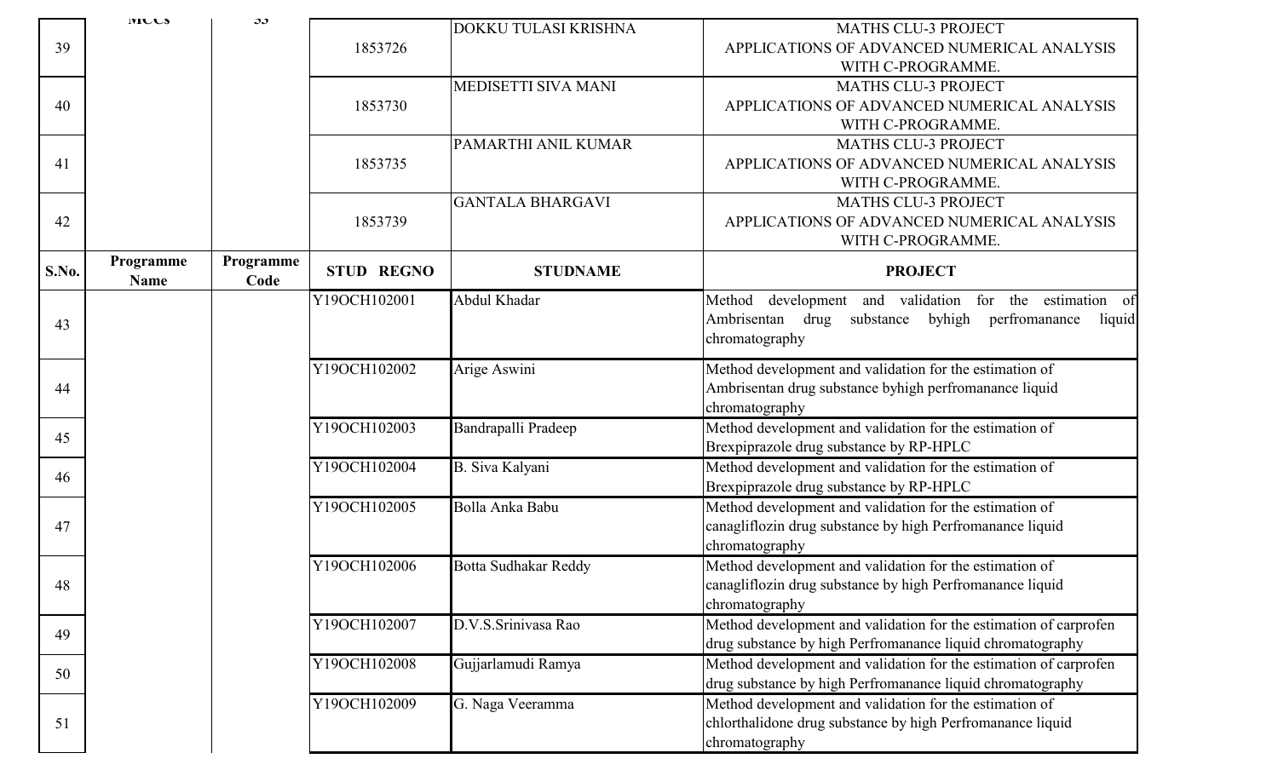|              | <b>IVILLS</b>            | ىر                |                   |                             |                                                                                                                                                    |
|--------------|--------------------------|-------------------|-------------------|-----------------------------|----------------------------------------------------------------------------------------------------------------------------------------------------|
| 39           |                          |                   | 1853726           | DOKKU TULASI KRISHNA        | <b>MATHS CLU-3 PROJECT</b><br>APPLICATIONS OF ADVANCED NUMERICAL ANALYSIS<br>WITH C-PROGRAMME.                                                     |
| 40           |                          |                   | 1853730           | MEDISETTI SIVA MANI         | <b>MATHS CLU-3 PROJECT</b><br>APPLICATIONS OF ADVANCED NUMERICAL ANALYSIS<br>WITH C-PROGRAMME.                                                     |
| 41           |                          |                   | 1853735           | PAMARTHI ANIL KUMAR         | <b>MATHS CLU-3 PROJECT</b><br>APPLICATIONS OF ADVANCED NUMERICAL ANALYSIS<br>WITH C-PROGRAMME.                                                     |
| 42           |                          |                   | 1853739           | <b>GANTALA BHARGAVI</b>     | <b>MATHS CLU-3 PROJECT</b><br>APPLICATIONS OF ADVANCED NUMERICAL ANALYSIS<br>WITH C-PROGRAMME.                                                     |
| <b>S.No.</b> | Programme<br><b>Name</b> | Programme<br>Code | <b>STUD REGNO</b> | <b>STUDNAME</b>             | <b>PROJECT</b>                                                                                                                                     |
| 43           |                          |                   | Y19OCH102001      | Abdul Khadar                | Method development and validation for the estimation of<br>Ambrisentan<br>byhigh<br>drug<br>substance<br>perfromanance<br>liquid<br>chromatography |
| 44           |                          |                   | Y19OCH102002      | Arige Aswini                | Method development and validation for the estimation of<br>Ambrisentan drug substance byhigh perfromanance liquid<br>chromatography                |
| 45           |                          |                   | Y19OCH102003      | Bandrapalli Pradeep         | Method development and validation for the estimation of<br>Brexpiprazole drug substance by RP-HPLC                                                 |
| 46           |                          |                   | Y19OCH102004      | B. Siva Kalyani             | Method development and validation for the estimation of<br>Brexpiprazole drug substance by RP-HPLC                                                 |
| 47           |                          |                   | Y19OCH102005      | Bolla Anka Babu             | Method development and validation for the estimation of<br>canagliflozin drug substance by high Perfromanance liquid<br>chromatography             |
| 48           |                          |                   | Y19OCH102006      | <b>Botta Sudhakar Reddy</b> | Method development and validation for the estimation of<br>canagliflozin drug substance by high Perfromanance liquid<br>chromatography             |
| 49           |                          |                   | Y19OCH102007      | D.V.S.Srinivasa Rao         | Method development and validation for the estimation of carprofen<br>drug substance by high Perfromanance liquid chromatography                    |
| 50           |                          |                   | Y19OCH102008      | Gujjarlamudi Ramya          | Method development and validation for the estimation of carprofen<br>drug substance by high Perfromanance liquid chromatography                    |
| 51           |                          |                   | Y19OCH102009      | G. Naga Veeramma            | Method development and validation for the estimation of<br>chlorthalidone drug substance by high Perfromanance liquid<br>chromatography            |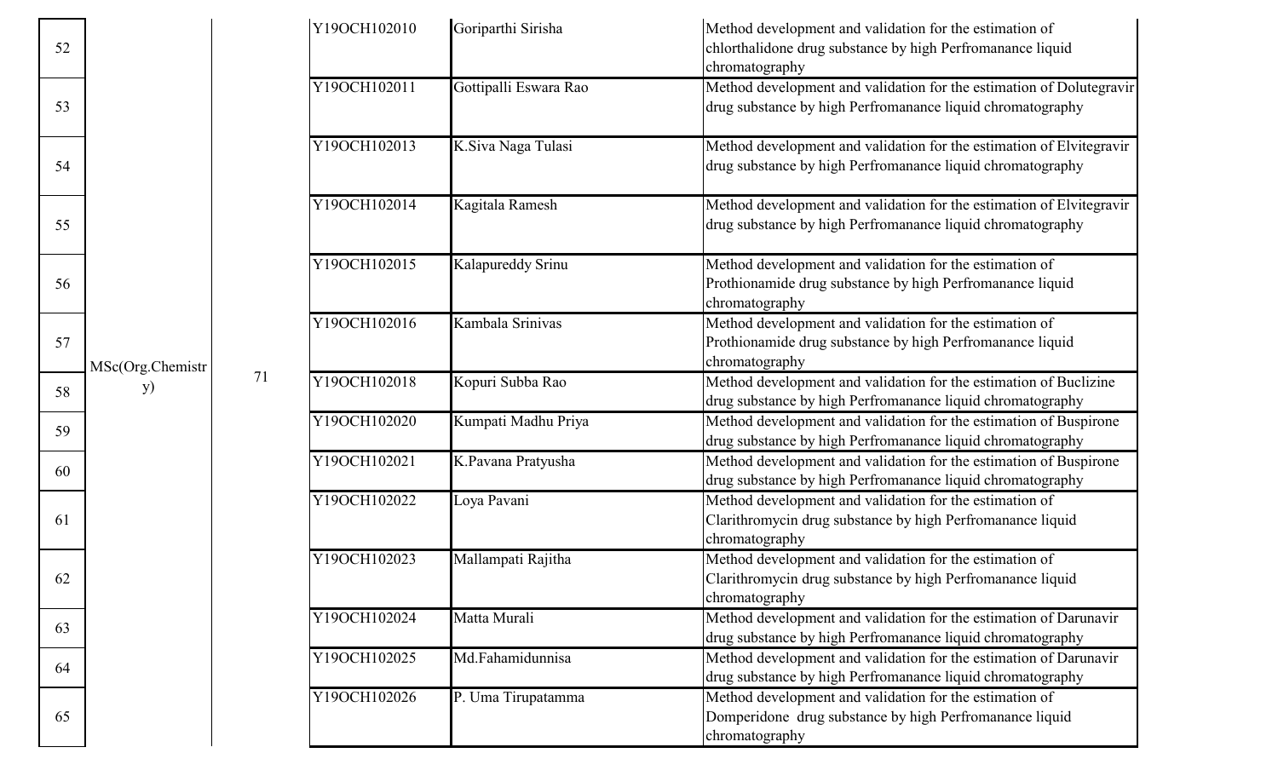| 52 |                  |    | Y19OCH102010 | Goriparthi Sirisha    | Method development and validation for the estimation of<br>chlorthalidone drug substance by high Perfromanance liquid<br>chromatography |
|----|------------------|----|--------------|-----------------------|-----------------------------------------------------------------------------------------------------------------------------------------|
| 53 |                  |    | Y19OCH102011 | Gottipalli Eswara Rao | Method development and validation for the estimation of Dolutegravir<br>drug substance by high Perfromanance liquid chromatography      |
| 54 |                  |    | Y19OCH102013 | K.Siva Naga Tulasi    | Method development and validation for the estimation of Elvitegravir<br>drug substance by high Perfromanance liquid chromatography      |
| 55 |                  |    | Y19OCH102014 | Kagitala Ramesh       | Method development and validation for the estimation of Elvitegravir<br>drug substance by high Perfromanance liquid chromatography      |
| 56 |                  |    | Y19OCH102015 | Kalapureddy Srinu     | Method development and validation for the estimation of<br>Prothionamide drug substance by high Perfromanance liquid<br>chromatography  |
| 57 | MSc(Org.Chemistr |    | Y19OCH102016 | Kambala Srinivas      | Method development and validation for the estimation of<br>Prothionamide drug substance by high Perfromanance liquid<br>chromatography  |
| 58 | <b>y</b> )       | 71 | Y19OCH102018 | Kopuri Subba Rao      | Method development and validation for the estimation of Buclizine<br>drug substance by high Perfromanance liquid chromatography         |
| 59 |                  |    | Y19OCH102020 | Kumpati Madhu Priya   | Method development and validation for the estimation of Buspirone<br>drug substance by high Perfromanance liquid chromatography         |
| 60 |                  |    | Y19OCH102021 | K.Pavana Pratyusha    | Method development and validation for the estimation of Buspirone<br>drug substance by high Perfromanance liquid chromatography         |
| 61 |                  |    | Y19OCH102022 | Loya Pavani           | Method development and validation for the estimation of<br>Clarithromycin drug substance by high Perfromanance liquid<br>chromatography |
| 62 |                  |    | Y19OCH102023 | Mallampati Rajitha    | Method development and validation for the estimation of<br>Clarithromycin drug substance by high Perfromanance liquid<br>chromatography |
| 63 |                  |    | Y19OCH102024 | Matta Murali          | Method development and validation for the estimation of Darunavir<br>drug substance by high Perfromanance liquid chromatography         |
| 64 |                  |    | Y19OCH102025 | Md.Fahamidunnisa      | Method development and validation for the estimation of Darunavir<br>drug substance by high Perfromanance liquid chromatography         |
| 65 |                  |    | Y19OCH102026 | P. Uma Tirupatamma    | Method development and validation for the estimation of<br>Domperidone drug substance by high Perfromanance liquid<br>chromatography    |

52

53

54

55

56

57

61

62

65